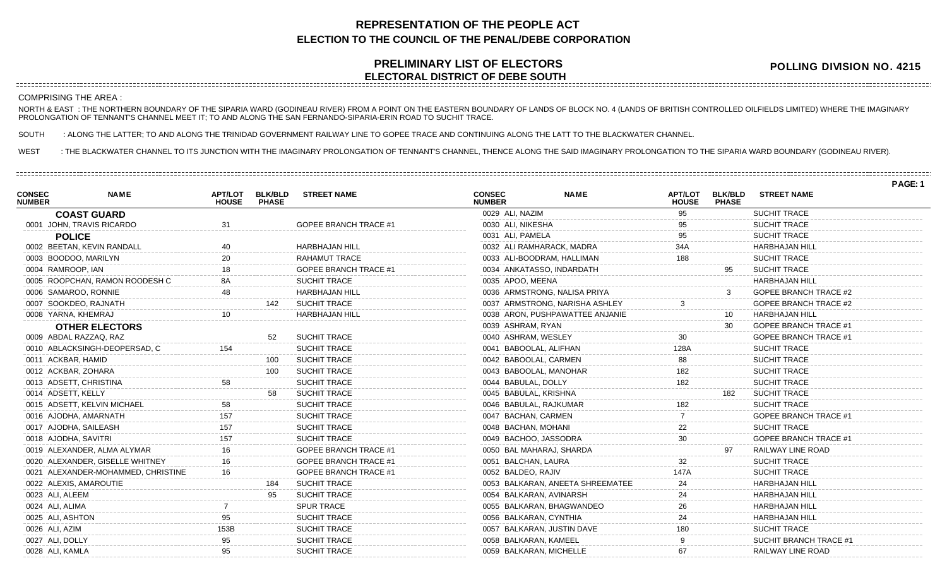## **REPRESENTATION OF THE PEOPLE ACT ELECTION TO THE COUNCIL OF THE PENAL/DEBE CORPORATION**

## **PRELIMINARY LIST OF ELECTORS ELECTORAL DISTRICT OF DEBE SOUTH**

**POLLING DIVISION NO. 4215**

## COMPRISING THE AREA :

NORTH & EAST : THE NORTHERN BOUNDARY OF THE SIPARIA WARD (GODINEAU RIVER) FROM A POINT ON THE EASTERN BOUNDARY OF LANDS OF BLOCK NO. 4 (LANDS OF BRITISH CONTROLLED OILFIELDS LIMITED) WHERE THE IMAGINARY PROLONGATION OF TENNANT'S CHANNEL MEET IT; TO AND ALONG THE SAN FERNANDO-SIPARIA-ERIN ROAD TO SUCHIT TRACE.

SOUTH : ALONG THE LATTER; TO AND ALONG THE TRINIDAD GOVERNMENT RAILWAY LINE TO GOPEE TRACE AND CONTINUING ALONG THE LATT TO THE BLACKWATER CHANNEL.

WEST : THE BLACKWATER CHANNEL TO ITS JUNCTION WITH THE IMAGINARY PROLONGATION OF TENNANT'S CHANNEL, THENCE ALONG THE SAID IMAGINARY PROLONGATION TO THE SIPARIA WARD BOUNDARY (GODINEAU RIVER).

**PAGE: 1 NAME APT/LOT BLK/BLD STREET NAME HOUSE PHASE CONSEC NUMBER COAST GUARD** 0001 JOHN, TRAVIS RICARDO 31 GOPEE BRANCH TRACE #1 **POLICE** 0002 BEETAN, KEVIN RANDALL 40 40 HARBHAJAN HILL 0003 BOODOO, MARILYN 20 RAHAMUT TRACE 0004 RAMROOP, IAN 18 18 GOPEE BRANCH TRACE #1 0005 ROOPCHAN, RAMON ROODESH C 8A SUCHIT TRACE 0006 SAMAROO, RONNIE 48 HARBHAJAN HILL 0007 SOOKDEO, RAJNATH 142 SUCHIT TRACE 0008 YARNA, KHEMRAJ 10 HARBHAJAN HILL **OTHER ELECTORS** 0009 ABDAL RAZZAQ, RAZ 52 SUCHIT TRACE 0010 ABLACKSINGH-DEOPERSAD, C 154 SUCHIT TRACE 0011 ACKBAR, HAMID 100 SUCHIT TRACE 0012 ACKBAR, ZOHARA 100 SUCHIT TRACE 0013 ADSETT, CHRISTINA 68 58 SUCHIT TRACE 0014 ADSETT, KELLY **1988 SUCHIT TRACE** 0015 ADSETT, KELVIN MICHAEL 58 SUCHIT TRACE 0016 AJODHA, AMARNATH 157 157 SUCHIT TRACE 0017 AJODHA, SAILEASH 157 157 SUCHIT TRACE 0018 AJODHA, SAVITRI 157 157 SUCHIT TRACE 0019 ALEXANDER, ALMA ALYMAR 16 16 GOPEE BRANCH TRACE #1 0020 ALEXANDER, GISELLE WHITNEY 16 60PEE BRANCH TRACE #1 0021 ALEXANDER-MOHAMMED, CHRISTINE 16 16 GOPEE BRANCH TRACE #1 0022 ALEXIS, AMAROUTIE 184 SUCHIT TRACE 0023 ALI, ALEEM 95 SUCHIT TRACE 0024 ALI, ALIMA 7 SPUR TRACE 0025 ALI, ASHTON 85 800 SUCHIT TRACE 0026 ALI, AZIM 153B SUCHIT TRACE 0027 ALI, DOLLY 85 8UCHIT TRACE 0028 ALI, KAMLA 85 95 SUCHIT TRACE **NAME APT/LOT BLK/BLD STREET NAME HOUSE CONSEC NUMBER** 0029 ALI, NAZIM 95 SUCHIT TRACE 0030 ALI, NIKESHA 95 SUCHIT TRACE 0031 ALI, PAMELA 20031 ALI, PAMELA 0032 ALI RAMHARACK, MADRA 34A HARBHAJAN HILL 0033 ALI-BOODRAM, HALLIMAN 188 188 SUCHIT TRACE 0034 ANKATASSO, INDARDATH 95 SUCHIT TRACE 0035 APOO, MEENA HARBHAJAN HILL 0036 ARMSTRONG, NALISA PRIYA 1988 1999 100 100 100 3 4 GOPEE BRANCH TRACE #2 0037 ARMSTRONG, NARISHA ASHLEY 3 GOPEE BRANCH TRACE #2 0038 ARON, PUSHPAWATTEE ANJANIE 10 10 HARBHAJAN HILL 0039 ASHRAM, RYAN 30 GOPEE BRANCH TRACE #1 0040 ASHRAM, WESLEY 30 GOPEE BRANCH TRACE #1 0041 BABOOLAL, ALIFHAN 128A SUCHIT TRACE 0042 BABOOLAL, CARMEN 88 SUCHIT TRACE 0043 BABOOLAL, MANOHAR 182 182 SUCHIT TRACE 0044 BABULAL, DOLLY 182 SUCHIT TRACE 0045 BABULAL, KRISHNA 182 SUCHIT TRACE 0046 BABULAL, RAJKUMAR 182 182 SUCHIT TRACE 0047 BACHAN, CARMEN 7 GOPEE BRANCH TRACE #1 0048 BACHAN, MOHANI 22 SUCHIT TRACE 0049 BACHOO, JASSODRA 30 GOPEE BRANCH TRACE #1 0050 BAL MAHARAJ, SHARDA 97 RAILWAY LINE ROAD 0051 BALCHAN, LAURA 32 SUCHIT TRACE 0052 BALDEO, RAJIV 147A SUCHIT TRACE 0053 BALKARAN, ANEETA SHREEMATEE 24 HARBHAJAN HILL 0054 BALKARAN, AVINARSH 24 HARBHAJAN HILL 0055 BALKARAN, BHAGWANDEO 26 HARBHAJAN HILL 0056 BALKARAN, CYNTHIA 24 HARBHAJAN HILL 0057 BALKARAN, JUSTIN DAVE 180 180 SUCHIT TRACE 0058 BALKARAN, KAMEEL 9 9 SUCHIT BRANCH TRACE #1 0059 BALKARAN, MICHELLE 67 67 RAILWAY LINE ROAD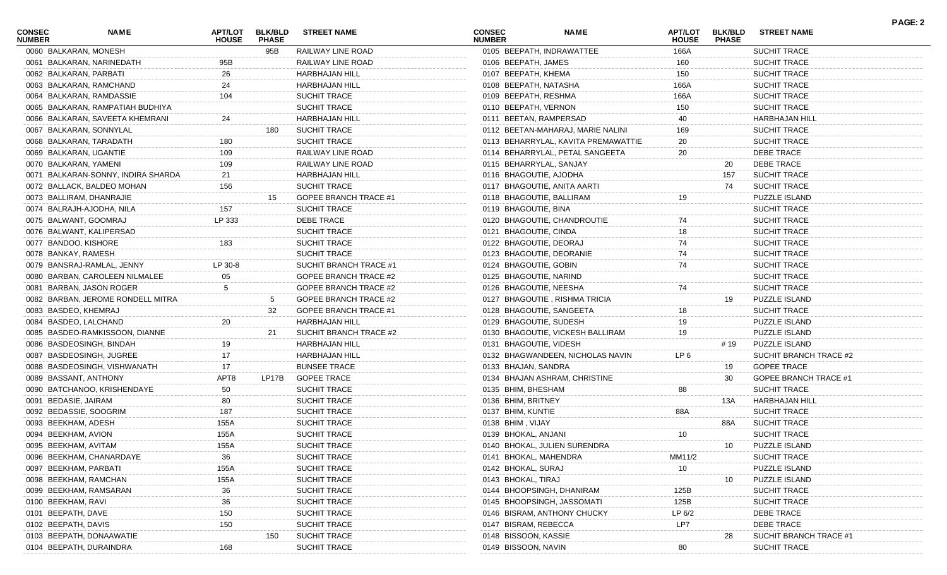| <b>CONSEC</b><br><b>NUMBER</b> | NAME                                                       | <b>APT/LOT</b><br><b>HOUSE</b> | <b>BLK/BLD</b><br><b>PHASE</b> | <b>STREET NAME</b>           | <b>CONSEC</b><br><b>NUMBER</b> | <b>NAME</b>                         | APT/LOT<br><b>HOUSE</b> | <b>BLK/BLD</b><br><b>PHASE</b> | <b>STREET NAME</b>     | <b>PAGE: 2</b> |
|--------------------------------|------------------------------------------------------------|--------------------------------|--------------------------------|------------------------------|--------------------------------|-------------------------------------|-------------------------|--------------------------------|------------------------|----------------|
| 0060 BALKARAN, MONESH          |                                                            |                                | 95B                            | RAILWAY LINE ROAD            |                                | 0105 BEEPATH, INDRAWATTEE           | 166A                    |                                | <b>SUCHIT TRACE</b>    |                |
|                                | 0061 BALKARAN, NARINEDATH                                  | 95B                            |                                | RAILWAY LINE ROAD            | 0106 BEEPATH, JAMES            |                                     | 160                     |                                | <b>SUCHIT TRACE</b>    |                |
| 0062 BALKARAN, PARBATI         |                                                            | 26                             |                                | HARBHAJAN HILL               | 0107 BEEPATH, KHEMA            |                                     | 150                     |                                | <b>SUCHIT TRACE</b>    |                |
|                                | 0063 BALKARAN, RAMCHAND                                    | 24                             |                                | HARBHAJAN HILL               | 0108 BEEPATH, NATASHA          |                                     | 166A                    |                                | <b>SUCHIT TRACE</b>    |                |
|                                | 0064 BALKARAN, RAMDASSIE                                   | 104                            |                                | <b>SUCHIT TRACE</b>          | 0109 BEEPATH, RESHMA           |                                     | 166A                    |                                | <b>SUCHIT TRACE</b>    |                |
|                                | 0065 BALKARAN, RAMPATIAH BUDHIYA                           |                                |                                | <b>SUCHIT TRACE</b>          | 0110 BEEPATH, VERNON           |                                     | 150                     |                                | <b>SUCHIT TRACE</b>    |                |
|                                | 0066 BALKARAN, SAVEETA KHEMRANI                            | 24                             |                                | <b>HARBHAJAN HILL</b>        | 0111 BEETAN, RAMPERSAD         |                                     | 40                      |                                | HARBHAJAN HILL         |                |
|                                | 0067 BALKARAN, SONNYLAL                                    |                                | 180                            | <b>SUCHIT TRACE</b>          |                                | 0112 BEETAN-MAHARAJ, MARIE NALINI   | 169                     |                                | <b>SUCHIT TRACE</b>    |                |
|                                | 0068 BALKARAN, TARADATH                                    | 180                            |                                | <b>SUCHIT TRACE</b>          |                                | 0113 BEHARRYLAL, KAVITA PREMAWATTIE | 20                      |                                | <b>SUCHIT TRACE</b>    |                |
| 0069 BALKARAN, UGANTIE         |                                                            | 109                            |                                | RAILWAY LINE ROAD            |                                | 0114 BEHARRYLAL, PETAL SANGEETA     | 20                      |                                | <b>DEBE TRACE</b>      |                |
| 0070 BALKARAN, YAMENI          |                                                            | 109                            |                                | RAILWAY LINE ROAD            | 0115 BEHARRYLAL, SANJAY        |                                     |                         | 20                             | <b>DEBE TRACE</b>      |                |
|                                | 0071 BALKARAN-SONNY, INDIRA SHARDA                         | 21                             |                                | <b>HARBHAJAN HILL</b>        | 0116 BHAGOUTIE, AJODHA         |                                     |                         | 157                            | <b>SUCHIT TRACE</b>    |                |
|                                | 0072 BALLACK, BALDEO MOHAN                                 | 156                            |                                | SUCHIT TRACE                 |                                | 0117 BHAGOUTIE, ANITA AARTI         |                         | 74                             | <b>SUCHIT TRACE</b>    |                |
|                                | 0073 BALLIRAM, DHANRAJIE                                   |                                | 15                             | GOPEE BRANCH TRACE #1        |                                | 0118 BHAGOUTIE, BALLIRAM            | 19                      |                                | PUZZLE ISLAND          |                |
|                                | 0074 BALRAJH-AJODHA, NILA                                  | 157                            |                                | <b>SUCHIT TRACE</b>          | 0119 BHAGOUTIE, BINA           |                                     |                         |                                | <b>SUCHIT TRACE</b>    |                |
| 0075 BALWANT, GOOMRAJ          |                                                            | LP 333                         |                                | DEBE TRACE                   |                                | 0120 BHAGOUTIE, CHANDROUTIE         | 74                      |                                | <b>SUCHIT TRACE</b>    |                |
|                                | 0076 BALWANT, KALIPERSAD                                   |                                |                                | <b>SUCHIT TRACE</b>          | 0121 BHAGOUTIE, CINDA          |                                     | 18                      |                                | <b>SUCHIT TRACE</b>    |                |
| 0077 BANDOO, KISHORE           |                                                            | 183                            |                                | <b>SUCHIT TRACE</b>          | 0122 BHAGOUTIE, DEORAJ         |                                     | 74                      |                                | <b>SUCHIT TRACE</b>    |                |
| 0078 BANKAY, RAMESH            |                                                            |                                |                                | <b>SUCHIT TRACE</b>          |                                | 0123 BHAGOUTIE, DEORANIE            | 74                      |                                | <b>SUCHIT TRACE</b>    |                |
|                                | 0079 BANSRAJ-RAMLAL, JENNY                                 | LP 30-8                        |                                | SUCHIT BRANCH TRACE #1       | 0124 BHAGOUTIE, GOBIN          |                                     | 74                      |                                | <b>SUCHIT TRACE</b>    |                |
|                                | 0080 BARBAN, CAROLEEN NILMALEE                             | 05                             |                                | GOPEE BRANCH TRACE #2        | 0125 BHAGOUTIE, NARIND         |                                     |                         |                                | <b>SUCHIT TRACE</b>    |                |
|                                | 0081 BARBAN, JASON ROGER                                   | 5                              |                                | GOPEE BRANCH TRACE #2        | 0126 BHAGOUTIE, NEESHA         |                                     | 74                      |                                | <b>SUCHIT TRACE</b>    |                |
|                                | 0082 BARBAN, JEROME RONDELL MITRA                          |                                | 5                              | GOPEE BRANCH TRACE #2        |                                | 0127 BHAGOUTIE, RISHMA TRICIA       |                         | 19                             | <b>PUZZLE ISLAND</b>   |                |
| 0083 BASDEO, KHEMRAJ           |                                                            |                                | 32                             | <b>GOPEE BRANCH TRACE #1</b> |                                | 0128 BHAGOUTIE, SANGEETA            | 18                      |                                | <b>SUCHIT TRACE</b>    |                |
| 0084 BASDEO, LALCHAND          |                                                            | 20                             |                                | HARBHAJAN HILL               | 0129 BHAGOUTIE, SUDESH         |                                     | 19                      |                                | <b>PUZZLE ISLAND</b>   |                |
|                                |                                                            |                                | -21                            |                              |                                |                                     | 19                      |                                |                        |                |
|                                | 0085 BASDEO-RAMKISSOON, DIANNE<br>0086 BASDEOSINGH, BINDAH |                                |                                | SUCHIT BRANCH TRACE #2       |                                | 0130 BHAGOUTIE, VICKESH BALLIRAM    |                         |                                | PUZZLE ISLAND          |                |
|                                |                                                            | 19                             |                                | <b>HARBHAJAN HILL</b>        | 0131 BHAGOUTIE, VIDESH         |                                     |                         | # 19                           | <b>PUZZLE ISLAND</b>   |                |
|                                | 0087 BASDEOSINGH, JUGREE                                   | 17                             |                                | <b>HARBHAJAN HILL</b>        |                                | 0132 BHAGWANDEEN, NICHOLAS NAVIN    | LP 6                    |                                | SUCHIT BRANCH TRACE #2 |                |
|                                | 0088 BASDEOSINGH, VISHWANATH                               | 17                             |                                | <b>BUNSEE TRACE</b>          | 0133 BHAJAN, SANDRA            |                                     |                         | 19                             | <b>GOPEE TRACE</b>     |                |
| 0089 BASSANT, ANTHONY          |                                                            | APT8                           | LP17B                          | <b>GOPEE TRACE</b>           |                                | 0134 BHAJAN ASHRAM, CHRISTINE       |                         | 30                             | GOPEE BRANCH TRACE #1  |                |
|                                | 0090 BATCHANOO, KRISHENDAYE                                | 50                             |                                | <b>SUCHIT TRACE</b>          | 0135 BHIM, BHESHAM             |                                     | 88                      |                                | <b>SUCHIT TRACE</b>    |                |
| 0091 BEDASIE, JAIRAM           |                                                            | 80                             |                                | <b>SUCHIT TRACE</b>          | 0136 BHIM, BRITNEY             |                                     |                         | 13A                            | HARBHAJAN HILL         |                |
| 0092 BEDASSIE, SOOGRIM         |                                                            | 187                            |                                | <b>SUCHIT TRACE</b>          | 0137 BHIM, KUNTIE              |                                     | 88A                     |                                | <b>SUCHIT TRACE</b>    |                |
| 0093 BEEKHAM, ADESH            |                                                            | 155A                           |                                | <b>SUCHIT TRACE</b>          | 0138 BHIM, VIJAY               |                                     |                         | 88A                            | <b>SUCHIT TRACE</b>    |                |
| 0094 BEEKHAM, AVION            |                                                            | 155A                           |                                | SUCHIT TRACE                 | 0139 BHOKAL, ANJANI            |                                     | 10                      |                                | SUCHIT TRACE           |                |
| 0095 BEEKHAM, AVITAM           |                                                            | 155A                           |                                | SUCHIT TRACE                 |                                | 0140 BHOKAL, JULIEN SURENDRA        |                         | 10                             | PUZZLE ISLAND          |                |
|                                | 0096 BEEKHAM, CHANARDAYE                                   | 36                             |                                | <b>SUCHIT TRACE</b>          | 0141 BHOKAL, MAHENDRA          |                                     | MM11/2                  |                                | SUCHIT TRACE           |                |
| 0097 BEEKHAM, PARBATI          |                                                            | 155A                           |                                | SUCHIT TRACE                 | 0142 BHOKAL, SURAJ             |                                     | 10                      |                                | <b>PUZZLE ISLAND</b>   |                |
|                                | 0098 BEEKHAM, RAMCHAN                                      | 155A                           |                                | SUCHIT TRACE                 | 0143 BHOKAL, TIRAJ             |                                     |                         | 10                             | PUZZLE ISLAND          |                |
|                                | 0099 BEEKHAM, RAMSARAN                                     | 36                             |                                | SUCHIT TRACE                 |                                | 0144 BHOOPSINGH, DHANIRAM           | 125B                    |                                | <b>SUCHIT TRACE</b>    |                |
| 0100 BEEKHAM, RAVI             |                                                            | 36                             |                                | SUCHIT TRACE                 |                                | 0145 BHOOPSINGH, JASSOMATI          | 125B                    |                                | <b>SUCHIT TRACE</b>    |                |
| 0101 BEEPATH, DAVE             |                                                            | 150                            |                                | <b>SUCHIT TRACE</b>          |                                | 0146 BISRAM, ANTHONY CHUCKY         | LP 6/2                  |                                | DEBE TRACE             |                |
| 0102 BEEPATH, DAVIS            |                                                            | 150                            |                                | <b>SUCHIT TRACE</b>          | 0147 BISRAM, REBECCA           |                                     | LP7                     |                                | <b>DEBE TRACE</b>      |                |
|                                | 0103 BEEPATH, DONAAWATIE                                   |                                | 150                            | <b>SUCHIT TRACE</b>          | 0148 BISSOON, KASSIE           |                                     |                         | 28                             | SUCHIT BRANCH TRACE #  |                |
|                                | 0104 BEEPATH, DURAINDRA                                    | 168                            |                                | SUCHIT TRACE                 | 0149 BISSOON, NAVIN            |                                     | 80                      |                                | SUCHIT TRACE           |                |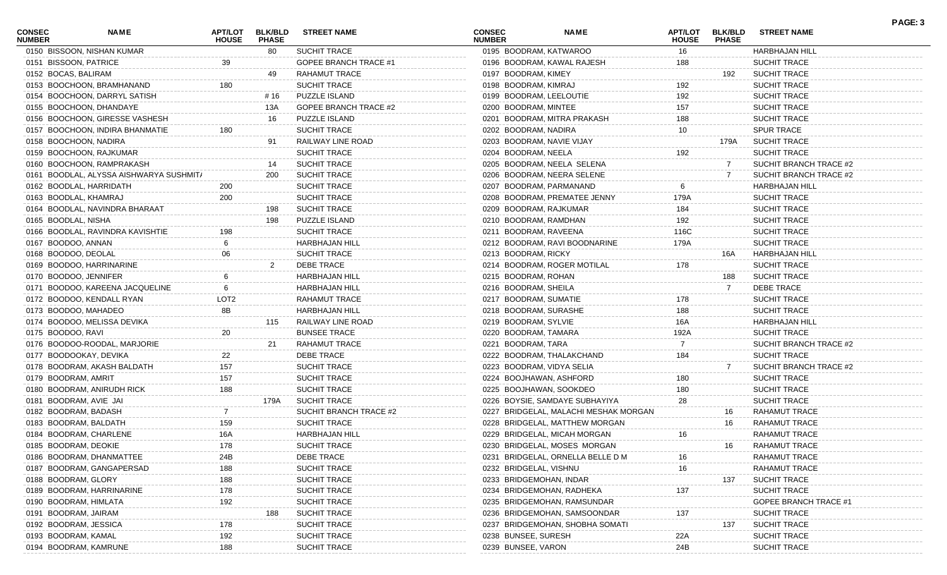| <b>CONSEC</b><br><b>NUMBER</b> | NAME                                    | <b>APT/LOT</b><br><b>HOUSE</b> | <b>BLK/BLD</b><br><b>PHASE</b> | <b>STREET NAME</b>           | <b>CONSEC</b><br><b>NUMBER</b> | <b>NAME</b>                           | <b>APT/LOT</b><br><b>HOUSE</b> | <b>BLK/BLD</b><br><b>PHASE</b> | <b>STREET NAME</b>          | PAGE: 3 |
|--------------------------------|-----------------------------------------|--------------------------------|--------------------------------|------------------------------|--------------------------------|---------------------------------------|--------------------------------|--------------------------------|-----------------------------|---------|
|                                | 0150 BISSOON, NISHAN KUMAR              |                                | 80                             | <b>SUCHIT TRACE</b>          |                                | 0195 BOODRAM, KATWAROO                | 16                             |                                | HARBHAJAN HILL              |         |
| 0151 BISSOON, PATRICE          |                                         | 39                             |                                | GOPEE BRANCH TRACE #1        |                                | 0196 BOODRAM, KAWAL RAJESH            | 188                            |                                | SUCHIT TRACE                |         |
| 0152 BOCAS, BALIRAM            |                                         |                                | 49                             | RAHAMUT TRACE                | 0197 BOODRAM, KIMEY            |                                       |                                | 192                            | <b>SUCHIT TRACE</b>         |         |
|                                | 0153 BOOCHOON, BRAMHANAND               | 180                            |                                | <b>SUCHIT TRACE</b>          | 0198 BOODRAM, KIMRAJ           |                                       | 192                            |                                | SUCHIT TRACE                |         |
|                                | 0154 BOOCHOON, DARRYL SATISH            |                                | # 16                           | PUZZLE ISLAND                |                                | 0199 BOODRAM, LEELOUTIE               | 192                            |                                | <b>SUCHIT TRACE</b>         |         |
|                                | 0155 BOOCHOON, DHANDAYE                 |                                | 13A                            | <b>GOPEE BRANCH TRACE #2</b> | 0200 BOODRAM, MINTEE           |                                       | 157                            |                                | <b>SUCHIT TRACE</b>         |         |
|                                | 0156 BOOCHOON, GIRESSE VASHESH          |                                | 16                             | PUZZLE ISLAND                |                                | 0201 BOODRAM, MITRA PRAKASH           | 188                            |                                | <b>SUCHIT TRACE</b>         |         |
|                                | 0157 BOOCHOON, INDIRA BHANMATIE         | 180                            |                                | SUCHIT TRACE                 | 0202 BOODRAM, NADIRA           |                                       | 10                             |                                | <b>SPUR TRACE</b>           |         |
|                                | 0158 BOOCHOON, NADIRA                   |                                | 91                             | RAILWAY LINE ROAD            |                                | 0203 BOODRAM, NAVIE VIJAY             |                                | 179A                           | <b>SUCHIT TRACE</b>         |         |
|                                | 0159 BOOCHOON, RAJKUMAR                 |                                |                                | <b>SUCHIT TRACE</b>          | 0204 BOODRAM, NEELA            |                                       | 192                            |                                | SUCHIT TRACE                |         |
|                                | 0160 BOOCHOON, RAMPRAKASH               |                                | 14                             | <b>SUCHIT TRACE</b>          |                                | 0205 BOODRAM, NEELA SELENA            |                                | 7                              | SUCHIT BRANCH TRACE #2      |         |
|                                | 0161 BOODLAL, ALYSSA AISHWARYA SUSHMIT/ |                                | 200                            | <b>SUCHIT TRACE</b>          |                                | 0206 BOODRAM, NEERA SELENE            |                                | $7^{\circ}$                    | SUCHIT BRANCH TRACE #2      |         |
|                                | 0162 BOODLAL, HARRIDATH                 | 200                            |                                | <b>SUCHIT TRACE</b>          |                                | 0207 BOODRAM, PARMANAND               | 6                              |                                | <b>HARBHAJAN HILL</b>       |         |
|                                | 0163 BOODLAL, KHAMRAJ                   | 200                            |                                | <b>SUCHIT TRACE</b>          |                                | 0208 BOODRAM, PREMATEE JENNY          | 179A                           |                                | SUCHIT TRACE                |         |
|                                | 0164 BOODLAL, NAVINDRA BHARAAT          |                                | 198                            | <b>SUCHIT TRACE</b>          |                                | 0209 BOODRAM, RAJKUMAR                | 184                            |                                | <b>SUCHIT TRACE</b>         |         |
| 0165 BOODLAL, NISHA            |                                         |                                | 198                            | PUZZLE ISLAND                |                                | 0210 BOODRAM, RAMDHAN                 | 192                            |                                | SUCHIT TRACE                |         |
|                                | 0166 BOODLAL, RAVINDRA KAVISHTIE        | 198                            |                                | <b>SUCHIT TRACE</b>          |                                | 0211 BOODRAM, RAVEENA                 | 116C                           |                                | <b>SUCHIT TRACE</b>         |         |
| 0167 BOODOO, ANNAN             |                                         |                                |                                | <b>HARBHAJAN HILL</b>        |                                | 0212 BOODRAM, RAVI BOODNARINE         | 179A                           |                                | <b>SUCHIT TRACE</b>         |         |
| 0168 BOODOO, DEOLAL            |                                         | 06                             |                                | <b>SUCHIT TRACE</b>          | 0213 BOODRAM, RICKY            |                                       |                                | 16A                            | HARBHAJAN HILL              |         |
|                                | 0169 BOODOO, HARRINARINE                |                                | 2                              | DEBE TRACE                   |                                | 0214 BOODRAM, ROGER MOTILAL           | 178                            |                                | SUCHIT TRACE                |         |
|                                | 0170 BOODOO, JENNIFER                   |                                |                                | HARBHAJAN HILL               | 0215 BOODRAM, ROHAN            |                                       |                                | 188                            | <b>SUCHIT TRACE</b>         |         |
|                                | 0171 BOODOO, KAREENA JACQUELINE         |                                |                                | <b>HARBHAJAN HILL</b>        | 0216 BOODRAM, SHEILA           |                                       |                                | $7\phantom{.}$                 | DEBE TRACE                  |         |
|                                | 0172 BOODOO, KENDALL RYAN               |                                |                                | <b>RAHAMUT TRACE</b>         |                                |                                       |                                |                                | SUCHIT TRACE                |         |
|                                |                                         | LOT2                           |                                |                              | 0217 BOODRAM, SUMATIE          |                                       | 178                            |                                |                             |         |
|                                | 0173 BOODOO, MAHADEO                    | 8B                             |                                | HARBHAJAN HILL               |                                | 0218 BOODRAM, SURASHE                 | 188                            |                                | SUCHIT TRACE                |         |
|                                | 0174 BOODOO, MELISSA DEVIKA             |                                | 115                            | RAILWAY LINE ROAD            | 0219 BOODRAM, SYLVIE           |                                       | 16A                            |                                | <b>HARBHAJAN HILL</b>       |         |
| 0175 BOODOO, RAVI              |                                         | 20                             |                                | <b>BUNSEE TRACE</b>          | 0220 BOODRAM, TAMARA           |                                       | 192A                           |                                | <b>SUCHIT TRACE</b>         |         |
|                                | 0176 BOODOO-ROODAL, MARJORIE            |                                | 21                             | RAHAMUT TRACE                | 0221 BOODRAM, TARA             |                                       |                                |                                | SUCHIT BRANCH TRACE #2      |         |
|                                | 0177 BOODOOKAY, DEVIKA                  | 22                             |                                | <b>DEBE TRACE</b>            |                                | 0222 BOODRAM, THALAKCHAND             | 184                            |                                | <b>SUCHIT TRACE</b>         |         |
|                                | 0178 BOODRAM, AKASH BALDATH             | 157                            |                                | <b>SUCHIT TRACE</b>          |                                | 0223 BOODRAM, VIDYA SELIA             |                                |                                | SUCHIT BRANCH TRACE #2      |         |
| 0179 BOODRAM, AMRIT            |                                         | 157                            |                                | <b>SUCHIT TRACE</b>          |                                | 0224 BOOJHAWAN, ASHFORD               | 180                            |                                | SUCHIT TRACE                |         |
|                                | 0180 BOODRAM, ANIRUDH RICK              | 188                            |                                | <b>SUCHIT TRACE</b>          |                                | 0225 BOOJHAWAN, SOOKDEO               | 180                            |                                | SUCHIT TRACE                |         |
|                                | 0181 BOODRAM, AVIE JAI                  |                                | 179A                           | <b>SUCHIT TRACE</b>          |                                | 0226 BOYSIE, SAMDAYE SUBHAYIYA        | 28                             |                                | SUCHIT TRACE                |         |
|                                | 0182 BOODRAM, BADASH                    |                                |                                | SUCHIT BRANCH TRACE #2       |                                | 0227 BRIDGELAL, MALACHI MESHAK MORGAN |                                | 16                             | RAHAMUT TRACE               |         |
|                                | 0183 BOODRAM, BALDATH                   | 159                            |                                | <b>SUCHIT TRACE</b>          |                                | 0228 BRIDGELAL, MATTHEW MORGAN        |                                | 16                             | <b>RAHAMUT TRACE</b>        |         |
|                                | 0184 BOODRAM, CHARLENE                  | 16A                            |                                | HARBHAJAN HILL               |                                | 0229 BRIDGELAL, MICAH MORGAN          | 16                             |                                | <b>RAHAMUT TRACE</b>        |         |
| 0185 BOODRAM, DEOKIE           |                                         | 178                            |                                | <b>SUCHIT TRACE</b>          |                                | 0230 BRIDGELAL, MOSES MORGAN          |                                | 16                             | RAHAMUT TRACE               |         |
|                                | 0186 BOODRAM, DHANMATTEE                | 24B                            |                                | <b>DEBE TRACE</b>            |                                | 0231 BRIDGELAL, ORNELLA BELLE D M     | 16                             |                                | RAHAMUT TRACE               |         |
|                                | 0187 BOODRAM, GANGAPERSAD               | 188                            |                                | SUCHIT TRACE                 | 0232 BRIDGELAL, VISHNU         |                                       | 16                             |                                | RAHAMUT TRACE               |         |
| 0188 BOODRAM, GLORY            |                                         | 188                            |                                | SUCHIT TRACE                 |                                | 0233 BRIDGEMOHAN, INDAR               |                                | 137                            | SUCHIT TRACE                |         |
|                                | 0189 BOODRAM, HARRINARINE               | 178                            |                                | SUCHIT TRACE                 |                                | 0234 BRIDGEMOHAN, RADHEKA             | 137                            |                                | SUCHIT TRACE                |         |
|                                | 0190 BOODRAM, HIMLATA                   | 192                            |                                | <b>SUCHIT TRACE</b>          |                                | 0235 BRIDGEMOHAN, RAMSUNDAR           |                                |                                | <b>GOPEE BRANCH TRACE #</b> |         |
| 0191 BOODRAM, JAIRAM           |                                         |                                | 188                            | <b>SUCHIT TRACE</b>          |                                | 0236 BRIDGEMOHAN, SAMSOONDAR          | 137                            |                                | SUCHIT TRACE                |         |
|                                | 0192 BOODRAM, JESSICA                   | 178                            |                                | SUCHIT TRACE                 |                                | 0237 BRIDGEMOHAN, SHOBHA SOMATI       |                                | 137                            | <b>SUCHIT TRACE</b>         |         |
| 0193 BOODRAM, KAMAL            |                                         | 192                            |                                | SUCHIT TRACE                 | 0238 BUNSEE, SURESH            |                                       | 22A                            |                                | SUCHIT TRACE                |         |
|                                | 0194 BOODRAM, KAMRUNE                   | 188                            |                                | SUCHIT TRACE                 | 0239 BUNSEE, VARON             |                                       | 24B                            |                                | SUCHIT TRACE                |         |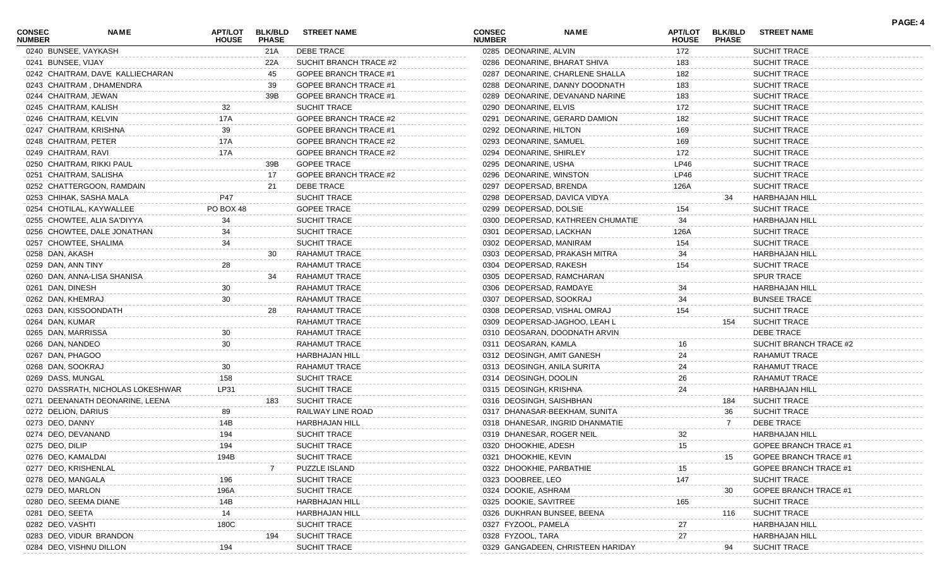| <b>CONSEC</b>                         | <b>NAME</b>                       | APT/LOT      | <b>BLK/BLD</b>      | <b>STREET NAME</b>           | <b>CONSEC</b>                          | <b>NAME</b>                       | <b>APT/LOT</b>      | <b>BLK/BLD</b> | <b>STREET NAME</b>                           | PAGE: 4 |
|---------------------------------------|-----------------------------------|--------------|---------------------|------------------------------|----------------------------------------|-----------------------------------|---------------------|----------------|----------------------------------------------|---------|
| <b>NUMBER</b><br>0240 BUNSEE, VAYKASH |                                   | <b>HOUSE</b> | <b>PHASE</b><br>21A | DEBE TRACE                   | <b>NUMBER</b><br>0285 DEONARINE, ALVIN |                                   | <b>HOUSE</b><br>172 | <b>PHASE</b>   | SUCHIT TRACE                                 |         |
| 0241 BUNSEE, VIJAY                    |                                   |              | 22A                 | SUCHIT BRANCH TRACE #2       |                                        | 0286 DEONARINE, BHARAT SHIVA      | 183                 |                | <b>SUCHIT TRACE</b>                          |         |
|                                       | 0242 CHAITRAM, DAVE KALLIECHARAN  |              | 45                  | GOPEE BRANCH TRACE #1        |                                        | 0287 DEONARINE, CHARLENE SHALLA   | 182                 |                | <b>SUCHIT TRACE</b>                          |         |
|                                       | 0243 CHAITRAM, DHAMENDRA          |              | 39                  | GOPEE BRANCH TRACE #1        |                                        | 0288 DEONARINE, DANNY DOODNATH    | 183                 |                | <b>SUCHIT TRACE</b>                          |         |
| 0244 CHAITRAM, JEWAN                  |                                   |              | 39B                 | GOPEE BRANCH TRACE #1        |                                        | 0289 DEONARINE, DEVANAND NARINE   | 183                 |                | <b>SUCHIT TRACE</b>                          |         |
| 0245 CHAITRAM, KALISH                 |                                   | 32           |                     | <b>SUCHIT TRACE</b>          | 0290 DEONARINE, ELVIS                  |                                   | 172                 |                | <b>SUCHIT TRACE</b>                          |         |
| 0246 CHAITRAM, KELVIN                 |                                   | 17A          |                     | <b>GOPEE BRANCH TRACE #2</b> |                                        | 0291 DEONARINE, GERARD DAMION     | 182                 |                | <b>SUCHIT TRACE</b>                          |         |
|                                       | 0247 CHAITRAM, KRISHNA            | 39           |                     | <b>GOPEE BRANCH TRACE #1</b> | 0292 DEONARINE, HILTON                 |                                   | 169                 |                | <b>SUCHIT TRACE</b>                          |         |
| 0248 CHAITRAM, PETER                  |                                   | 17A          |                     | <b>GOPEE BRANCH TRACE #2</b> | 0293 DEONARINE, SAMUEL                 |                                   | 169                 |                | <b>SUCHIT TRACE</b>                          |         |
| 0249 CHAITRAM, RAVI                   |                                   | 17A          |                     | GOPEE BRANCH TRACE #2        | 0294 DEONARINE, SHIRLEY                |                                   | 172                 |                | <b>SUCHIT TRACE</b>                          |         |
|                                       | 0250 CHAITRAM, RIKKI PAUL         |              | 39B                 | <b>GOPEE TRACE</b>           | 0295 DEONARINE, USHA                   |                                   | LP46                |                | <b>SUCHIT TRACE</b>                          |         |
|                                       | 0251 CHAITRAM, SALISHA            |              | 17                  | <b>GOPEE BRANCH TRACE #2</b> | 0296 DEONARINE, WINSTON                |                                   | LP46                |                | <b>SUCHIT TRACE</b>                          |         |
|                                       | 0252 CHATTERGOON, RAMDAIN         |              | 21                  | DEBE TRACE                   | 0297 DEOPERSAD, BRENDA                 |                                   | 126A                |                | <b>SUCHIT TRACE</b>                          |         |
|                                       | 0253 CHIHAK, SASHA MALA           | P47          |                     | <b>SUCHIT TRACE</b>          |                                        | 0298 DEOPERSAD, DAVICA VIDYA      |                     | 34             | HARBHAJAN HILL                               |         |
|                                       | 0254 CHOTILAL, KAYWALLEE          | PO BOX 48    |                     | <b>GOPEE TRACE</b>           | 0299 DEOPERSAD, DOLSIE                 |                                   | 154                 |                | <b>SUCHIT TRACE</b>                          |         |
|                                       |                                   | 34           |                     | <b>SUCHIT TRACE</b>          |                                        |                                   | 34                  |                |                                              |         |
|                                       | 0255 CHOWTEE, ALIA SA'DIYYA       | 34           |                     | <b>SUCHIT TRACE</b>          |                                        | 0300 DEOPERSAD, KATHREEN CHUMATIE |                     |                | <b>HARBHAJAN HILL</b><br><b>SUCHIT TRACE</b> |         |
|                                       | 0256 CHOWTEE, DALE JONATHAN       |              |                     | <b>SUCHIT TRACE</b>          | 0301 DEOPERSAD, LACKHAN                |                                   | 126A                |                |                                              |         |
|                                       | 0257 CHOWTEE, SHALIMA             | 34           |                     |                              | 0302 DEOPERSAD, MANIRAM                |                                   | 154                 |                | <b>SUCHIT TRACE</b>                          |         |
| 0258 DAN, AKASH                       |                                   |              | 30                  | RAHAMUT TRACE                |                                        | 0303 DEOPERSAD, PRAKASH MITRA     | 34                  |                | <b>HARBHAJAN HILL</b>                        |         |
| 0259 DAN, ANN TINY                    |                                   | 28           |                     | RAHAMUT TRACE                | 0304 DEOPERSAD, RAKESH                 |                                   | 154                 |                | <b>SUCHIT TRACE</b>                          |         |
|                                       | 0260 DAN, ANNA-LISA SHANISA       |              | 34                  | RAHAMUT TRACE                |                                        | 0305 DEOPERSAD, RAMCHARAN         |                     |                | <b>SPUR TRACE</b>                            |         |
| 0261 DAN, DINESH                      |                                   | 30           |                     | RAHAMUT TRACE                | 0306 DEOPERSAD, RAMDAYE                |                                   | 34                  |                | <b>HARBHAJAN HILL</b>                        |         |
| 0262 DAN, KHEMRAJ                     |                                   | 30           |                     | RAHAMUT TRACE                | 0307 DEOPERSAD, SOOKRAJ                |                                   | 34                  |                | <b>BUNSEE TRACE</b>                          |         |
|                                       | 0263 DAN, KISSOONDATH             |              | 28                  | RAHAMUT TRACE                |                                        | 0308 DEOPERSAD, VISHAL OMRAJ      | 154                 |                | <b>SUCHIT TRACE</b>                          |         |
| 0264 DAN, KUMAR                       |                                   |              |                     | RAHAMUT TRACE                |                                        | 0309 DEOPERSAD-JAGHOO, LEAH L     |                     | 154            | <b>SUCHIT TRACE</b>                          |         |
| 0265 DAN, MARRISSA                    |                                   | 30           |                     | RAHAMUT TRACE                |                                        | 0310 DEOSARAN, DOODNATH ARVIN     |                     |                | DEBE TRACE                                   |         |
| 0266 DAN, NANDEO                      |                                   | 30           |                     | RAHAMUT TRACE                | 0311 DEOSARAN, KAMLA                   |                                   | 16                  |                | SUCHIT BRANCH TRACE #2                       |         |
| 0267 DAN, PHAGOO                      |                                   |              |                     | <b>HARBHAJAN HILL</b>        | 0312 DEOSINGH, AMIT GANESH             |                                   | 24                  |                | RAHAMUT TRACE                                |         |
| 0268 DAN, SOOKRAJ                     |                                   | 30           |                     | RAHAMUT TRACE                | 0313 DEOSINGH, ANILA SURITA            |                                   | 24                  |                | RAHAMUT TRACE                                |         |
| 0269 DASS, MUNGAL                     |                                   | 158          |                     | SUCHIT TRACE                 | 0314 DEOSINGH, DOOLIN                  |                                   | 26                  |                | RAHAMUT TRACE                                |         |
|                                       | 0270 DASSRATH, NICHOLAS LOKESHWAR | LP31         |                     | <b>SUCHIT TRACE</b>          | 0315 DEOSINGH, KRISHNA                 |                                   | 24                  |                | <b>HARBHAJAN HILL</b>                        |         |
|                                       | 0271 DEENANATH DEONARINE, LEENA   |              | 183                 | <b>SUCHIT TRACE</b>          | 0316 DEOSINGH, SAISHBHAN               |                                   |                     | 184            | <b>SUCHIT TRACE</b>                          |         |
| 0272 DELION, DARIUS                   |                                   | 89           |                     | RAILWAY LINE ROAD            |                                        | 0317 DHANASAR-BEEKHAM, SUNITA     |                     | 36             | <b>SUCHIT TRACE</b>                          |         |
| 0273 DEO, DANNY                       |                                   | 14B          |                     | HARBHAJAN HILL               |                                        | 0318 DHANESAR, INGRID DHANMATIE   |                     | 7              | DEBE TRACE                                   |         |
| 0274 DEO, DEVANAND                    |                                   | 194          |                     | SUCHIT TRACE                 | 0319 DHANESAR, ROGER NEIL              |                                   | 32                  |                | HARBHAJAN HILL                               |         |
| 0275 DEO, DILIP                       |                                   | 194          |                     | SUCHIT TRACE                 | 0320 DHOOKHIE, ADESH                   |                                   | 15                  |                | GOPEE BRANCH TRACE #1                        |         |
| 0276 DEO, KAMALDAI                    |                                   | 194B         |                     | <b>SUCHIT TRACE</b>          | 0321 DHOOKHIE, KEVIN                   |                                   |                     | 15             | <b>GOPEE BRANCH TRACE #1</b>                 |         |
| 0277 DEO, KRISHENLAL                  |                                   |              |                     | <b>PUZZLE ISLAND</b>         | 0322 DHOOKHIE, PARBATHIE               |                                   | 15                  |                | GOPEE BRANCH TRACE #1                        |         |
| 0278 DEO, MANGALA                     |                                   | 196          |                     | <b>SUCHIT TRACE</b>          | 0323 DOOBREE, LEO                      |                                   | 147                 |                | <b>SUCHIT TRACE</b>                          |         |
| 0279 DEO, MARLON                      |                                   | 196A         |                     | <b>SUCHIT TRACE</b>          | 0324 DOOKIE, ASHRAM                    |                                   |                     | 30             | <b>GOPEE BRANCH TRACE #</b>                  |         |
| 0280 DEO, SEEMA DIANE                 |                                   | 14B          |                     | HARBHAJAN HILI               | 0325 DOOKIE, SAVITREE                  |                                   | 165                 |                | <b>SUCHIT TRACE</b>                          |         |
| 0281 DEO, SEETA                       |                                   | 14           |                     | HARBHAJAN HILL               | 0326 DUKHRAN BUNSEE, BEEN              |                                   |                     | 116            | <b>SUCHIT TRACE</b>                          |         |
| 0282 DEO, VASHTI                      |                                   | 180C         |                     | <b>SUCHIT TRACE</b>          | 0327 FYZOOL, PAMELA                    |                                   | 27                  |                | <b>HARBHAJAN HILI</b>                        |         |
|                                       | 0283 DEO, VIDUR BRANDON           |              | 194                 | <b>SUCHIT TRACE</b>          | 0328 FYZOOL, TARA                      |                                   | 27                  |                | <b>HARBHAJAN HILL</b>                        |         |
|                                       | 0284 DEO, VISHNU DILLON           | 194          |                     | <b>SUCHIT TRACE</b>          |                                        | 0329 GANGADEEN, CHRISTEEN HARIDAY |                     | 94             | <b>SUCHIT TRACE</b>                          |         |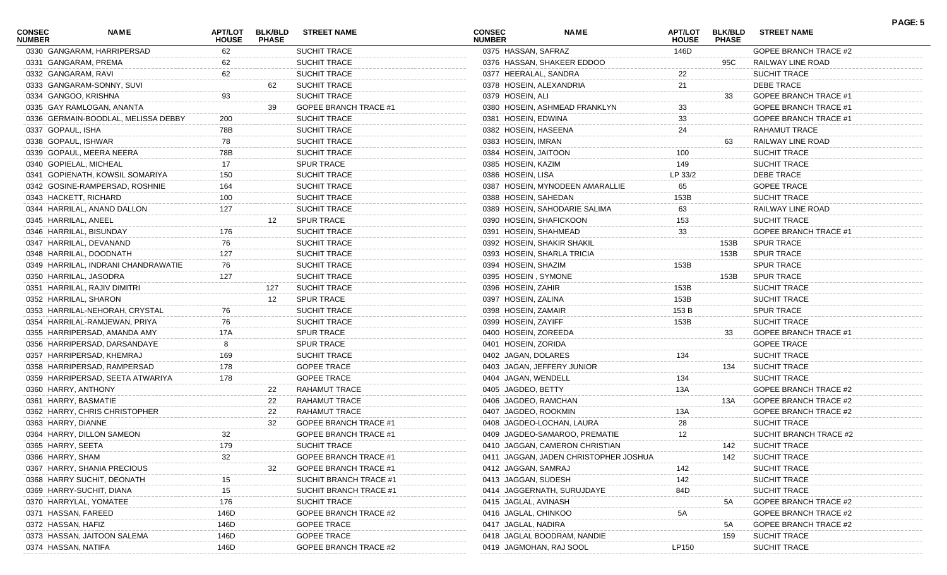| <b>CONSEC</b><br><b>NUMBER</b> | <b>NAME</b>                         | APT/LOT<br><b>HOUSE</b> | <b>BLK/BLD</b><br><b>PHASE</b> | <b>STREET NAME</b>           | <b>CONSEC</b><br><b>NUMBER</b> | <b>NAME</b>                           | <b>APT/LOT</b><br><b>HOUSE</b> | <b>BLK/BLD</b><br><b>PHASE</b> | <b>STREET NAME</b>           | PAGE: 5 |
|--------------------------------|-------------------------------------|-------------------------|--------------------------------|------------------------------|--------------------------------|---------------------------------------|--------------------------------|--------------------------------|------------------------------|---------|
|                                | 0330 GANGARAM, HARRIPERSAD          | 62                      |                                | <b>SUCHIT TRACE</b>          | 0375 HASSAN, SAFRAZ            |                                       | 146D                           |                                | <b>GOPEE BRANCH TRACE #2</b> |         |
|                                | 0331 GANGARAM, PREMA                | 62                      |                                | <b>SUCHIT TRACE</b>          |                                | 0376 HASSAN, SHAKEER EDDOO            |                                | 95C                            | RAILWAY LINE ROAD            |         |
|                                | 0332 GANGARAM, RAVI                 | 62                      |                                | <b>SUCHIT TRACE</b>          | 0377 HEERALAL, SANDRA          |                                       | 22                             |                                | <b>SUCHIT TRACE</b>          |         |
|                                | 0333 GANGARAM-SONNY, SUVI           |                         | 62                             | <b>SUCHIT TRACE</b>          | 0378 HOSEIN, ALEXANDRIA        |                                       | 21                             |                                | <b>DEBE TRACE</b>            |         |
|                                | 0334 GANGOO, KRISHNA                | 93                      |                                | <b>SUCHIT TRACE</b>          | 0379 HOSEIN, ALI               |                                       |                                | 33                             | <b>GOPEE BRANCH TRACE #1</b> |         |
|                                | 0335 GAY RAMLOGAN, ANANTA           |                         | 39                             | <b>GOPEE BRANCH TRACE #1</b> |                                | 0380 HOSEIN, ASHMEAD FRANKLYN         | 33                             |                                | GOPEE BRANCH TRACE #1        |         |
|                                | 0336 GERMAIN-BOODLAL, MELISSA DEBBY | 200                     |                                | <b>SUCHIT TRACE</b>          | 0381 HOSEIN, EDWINA            |                                       | 33                             |                                | GOPEE BRANCH TRACE #1        |         |
| 0337 GOPAUL, ISHA              |                                     | 78B                     |                                | <b>SUCHIT TRACE</b>          | 0382 HOSEIN, HASEENA           |                                       | 24                             |                                | RAHAMUT TRACE                |         |
|                                | 0338 GOPAUL, ISHWAR                 | 78                      |                                | <b>SUCHIT TRACE</b>          | 0383 HOSEIN, IMRAN             |                                       |                                | 63                             | RAILWAY LINE ROAD            |         |
|                                | 0339 GOPAUL, MEERA NEERA            | 78B                     |                                | <b>SUCHIT TRACE</b>          | 0384 HOSEIN, JAITOON           |                                       | 100                            |                                | <b>SUCHIT TRACE</b>          |         |
|                                | 0340 GOPIELAL, MICHEAL              | 17                      |                                | <b>SPUR TRACE</b>            | 0385 HOSEIN, KAZIM             |                                       | 149                            |                                | <b>SUCHIT TRACE</b>          |         |
|                                | 0341 GOPIENATH, KOWSIL SOMARIYA     | 150                     |                                | <b>SUCHIT TRACE</b>          | 0386 HOSEIN, LISA              |                                       | LP 33/2                        |                                | <b>DEBE TRACE</b>            |         |
|                                | 0342 GOSINE-RAMPERSAD, ROSHNIE      | 164                     |                                | <b>SUCHIT TRACE</b>          |                                | 0387 HOSEIN, MYNODEEN AMARALLIE       | 65                             |                                | <b>GOPEE TRACE</b>           |         |
|                                | 0343 HACKETT, RICHARD               | 100                     |                                | <b>SUCHIT TRACE</b>          | 0388 HOSEIN, SAHEDAN           |                                       | 153B                           |                                | <b>SUCHIT TRACE</b>          |         |
|                                | 0344 HARRILAL, ANAND DALLON         | 127                     |                                | <b>SUCHIT TRACE</b>          |                                | 0389 HOSEIN, SAHODARIE SALIMA         | 63                             |                                | RAILWAY LINE ROAD            |         |
|                                | 0345 HARRILAL, ANEEL                |                         | 12                             | <b>SPUR TRACE</b>            | 0390 HOSEIN, SHAFICKOON        |                                       | 153                            |                                | SUCHIT TRACE                 |         |
|                                | 0346 HARRILAL, BISUNDAY             | 176                     |                                | <b>SUCHIT TRACE</b>          | 0391 HOSEIN, SHAHMEAD          |                                       | 33                             |                                | <b>GOPEE BRANCH TRACE #1</b> |         |
|                                | 0347 HARRILAL, DEVANAND             | 76                      |                                | <b>SUCHIT TRACE</b>          |                                | 0392 HOSEIN, SHAKIR SHAKIL            |                                | 153B                           | <b>SPUR TRACE</b>            |         |
|                                | 0348 HARRILAL, DOODNATH             | 127                     |                                | <b>SUCHIT TRACE</b>          |                                | 0393 HOSEIN, SHARLA TRICIA            |                                | 153B                           | <b>SPUR TRACE</b>            |         |
|                                | 0349 HARRILAL, INDRANI CHANDRAWATIE | 76                      |                                | <b>SUCHIT TRACE</b>          | 0394 HOSEIN, SHAZIM            |                                       | 153B                           |                                | <b>SPUR TRACE</b>            |         |
|                                | 0350 HARRILAL, JASODRA              | 127                     |                                | <b>SUCHIT TRACE</b>          | 0395 HOSEIN, SYMONE            |                                       |                                | 153B                           | <b>SPUR TRACE</b>            |         |
|                                | 0351 HARRILAL, RAJIV DIMITRI        |                         | 127                            | <b>SUCHIT TRACE</b>          | 0396 HOSEIN, ZAHIR             |                                       | 153B                           |                                | <b>SUCHIT TRACE</b>          |         |
|                                | 0352 HARRILAL, SHARON               |                         | 12                             | <b>SPUR TRACE</b>            | 0397 HOSEIN, ZALINA            |                                       | 153B                           |                                | <b>SUCHIT TRACE</b>          |         |
|                                | 0353 HARRILAL-NEHORAH, CRYSTAL      | 76                      |                                | <b>SUCHIT TRACE</b>          | 0398 HOSEIN, ZAMAIR            |                                       | 153 B                          |                                | <b>SPUR TRACE</b>            |         |
|                                | 0354 HARRILAL-RAMJEWAN, PRIYA       | 76                      |                                | <b>SUCHIT TRACE</b>          | 0399 HOSEIN, ZAYIFF            |                                       | 153B                           |                                | SUCHIT TRACE                 |         |
|                                | 0355 HARRIPERSAD, AMANDA AMY        | 17A                     |                                | <b>SPUR TRACE</b>            | 0400 HOSEIN, ZOREEDA           |                                       |                                | 33                             | <b>GOPEE BRANCH TRACE #1</b> |         |
|                                | 0356 HARRIPERSAD, DARSANDAYE        |                         |                                | <b>SPUR TRACE</b>            | 0401 HOSEIN, ZORIDA            |                                       |                                |                                | <b>GOPEE TRACE</b>           |         |
|                                |                                     |                         |                                |                              |                                |                                       | 134                            |                                |                              |         |
|                                | 0357 HARRIPERSAD, KHEMRAJ           | 169                     |                                | <b>SUCHIT TRACE</b>          | 0402 JAGAN, DOLARES            |                                       |                                |                                | <b>SUCHIT TRACE</b>          |         |
|                                | 0358 HARRIPERSAD, RAMPERSAD         | 178                     |                                | <b>GOPEE TRACE</b>           |                                | 0403 JAGAN, JEFFERY JUNIOR            |                                | 134                            | <b>SUCHIT TRACE</b>          |         |
|                                | 0359 HARRIPERSAD, SEETA ATWARIYA    | 178                     |                                | <b>GOPEE TRACE</b>           | 0404 JAGAN, WENDELL            |                                       | 134                            |                                | SUCHIT TRACE                 |         |
|                                | 0360 HARRY, ANTHONY                 |                         | 22                             | RAHAMUT TRACE                | 0405 JAGDEO, BETTY             |                                       | 13A                            |                                | <b>GOPEE BRANCH TRACE #2</b> |         |
|                                | 0361 HARRY, BASMATIE                |                         | 22                             | RAHAMUT TRACE                | 0406 JAGDEO, RAMCHAN           |                                       |                                | 13A                            | GOPEE BRANCH TRACE #2        |         |
|                                | 0362 HARRY, CHRIS CHRISTOPHER       |                         | 22                             | <b>RAHAMUT TRACE</b>         | 0407 JAGDEO, ROOKMIN           |                                       | 13A                            |                                | GOPEE BRANCH TRACE #2        |         |
| 0363 HARRY, DIANNE             |                                     |                         | 32                             | <b>GOPEE BRANCH TRACE #1</b> |                                | 0408 JAGDEO-LOCHAN, LAURA             | 28                             |                                | SUCHIT TRACE                 |         |
|                                | 0364 HARRY, DILLON SAMEON           | 32                      |                                | GOPEE BRANCH TRACE #1        |                                | 0409 JAGDEO-SAMAROO, PREMATIE         | 12                             |                                | SUCHIT BRANCH TRACE #2       |         |
| 0365 HARRY, SEETA              |                                     | 179                     |                                | SUCHIT TRACE                 |                                | 0410 JAGGAN, CAMERON CHRISTIAN        |                                | 142                            | <b>SUCHIT TRACE</b>          |         |
| 0366 HARRY, SHAM               |                                     | 32                      |                                | <b>GOPEE BRANCH TRACE #1</b> |                                | 0411 JAGGAN, JADEN CHRISTOPHER JOSHUA |                                | 142                            | <b>SUCHIT TRACE</b>          |         |
|                                | 0367 HARRY, SHANIA PRECIOUS         |                         | 32                             | <b>GOPEE BRANCH TRACE #1</b> | 0412 JAGGAN, SAMRAJ            |                                       | 142                            |                                | SUCHIT TRACE                 |         |
|                                | 0368 HARRY SUCHIT, DEONATH          | 15                      |                                | SUCHIT BRANCH TRACE #1       | 0413 JAGGAN, SUDESH            |                                       | 142                            |                                | <b>SUCHIT TRACE</b>          |         |
|                                | 0369 HARRY-SUCHIT, DIANA            | 15                      |                                | SUCHIT BRANCH TRACE #1       |                                | 0414 JAGGERNATH, SURUJDAYE            | 84D                            |                                | SUCHIT TRACE                 |         |
|                                | 0370 HARRYLAL, YOMATEE              | 176                     |                                | <b>SUCHIT TRACE</b>          | 0415 JAGLAL, AVINASH           |                                       |                                | 5A                             | <b>GOPEE BRANCH TRACE #2</b> |         |
|                                | 0371 HASSAN, FAREED                 | 146D                    |                                | GOPEE BRANCH TRACE #2        | 0416 JAGLAL, CHINKOO           |                                       | 5A                             |                                | GOPEE BRANCH TRACE #2        |         |
| 0372 HASSAN, HAFIZ             |                                     | 146D                    |                                | <b>GOPEE TRACE</b>           | 0417 JAGLAL, NADIRA            |                                       |                                | 5A                             | GOPEE BRANCH TRACE #2        |         |
|                                | 0373 HASSAN, JAITOON SALEMA         | 146D                    |                                | <b>GOPEE TRACE</b>           |                                | 0418 JAGLAL BOODRAM, NANDIE           |                                | 159                            | <b>SUCHIT TRACE</b>          |         |
| 0374 HASSAN, NATIFA            |                                     | 146D                    |                                | GOPEE BRANCH TRACE #2        | 0419 JAGMOHAN, RAJ SOOL        |                                       | LP150                          |                                | SUCHIT TRACE                 |         |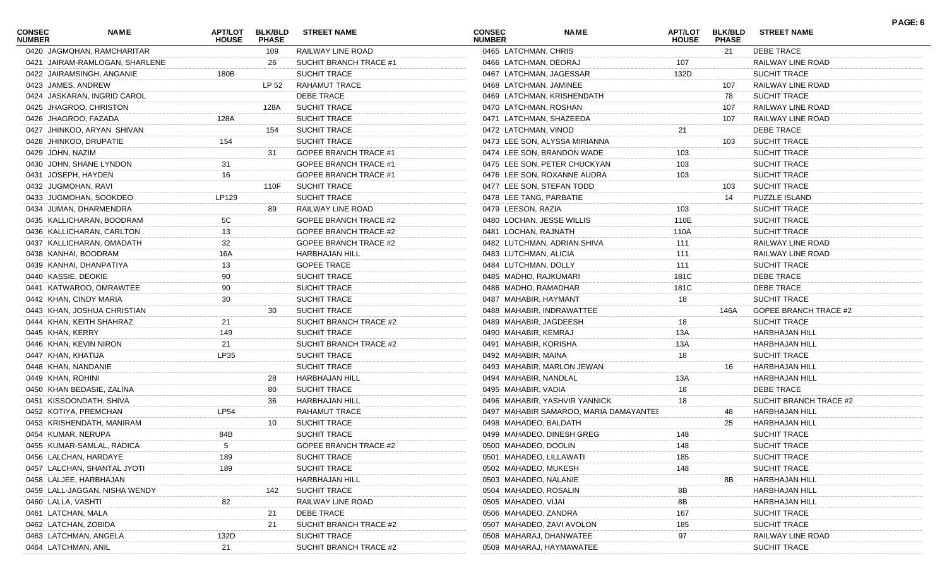| <b>CONSEC</b><br><b>NUMBER</b> | <b>NAME</b>                    | <b>APT/LOT</b><br><b>HOUSE</b> | <b>BLK/BLD</b><br><b>PHASE</b> | <b>STREET NAME</b>           | <b>CONSEC</b><br><b>NUMBER</b> |                         | <b>NAME</b>                            | APT/LOT<br><b>HOUSE</b> | <b>BLK/BLD</b><br><b>PHASE</b> | <b>STREET NAME</b>           | PAGE: 6 |
|--------------------------------|--------------------------------|--------------------------------|--------------------------------|------------------------------|--------------------------------|-------------------------|----------------------------------------|-------------------------|--------------------------------|------------------------------|---------|
|                                | 0420 JAGMOHAN, RAMCHARITAR     |                                | 109                            | RAILWAY LINE ROAD            |                                | 0465 LATCHMAN, CHRIS    |                                        |                         | 21                             | <b>DEBE TRACE</b>            |         |
|                                | 0421 JAIRAM-RAMLOGAN, SHARLENE |                                | 26                             | SUCHIT BRANCH TRACE #1       |                                | 0466 LATCHMAN, DEORAJ   |                                        | 107                     |                                | RAILWAY LINE ROAD            |         |
|                                | 0422 JAIRAMSINGH, ANGANIE      | 180B                           |                                | SUCHIT TRACE                 |                                |                         | 0467 LATCHMAN, JAGESSAR                | 132D                    |                                | SUCHIT TRACE                 |         |
|                                | 0423 JAMES, ANDREW             |                                | LP 52                          | <b>RAHAMUT TRACE</b>         |                                | 0468 LATCHMAN, JAMINEE  |                                        |                         | 107                            | RAILWAY LINE ROAD            |         |
|                                | 0424 JASKARAN, INGRID CAROL    |                                |                                | <b>DEBE TRACE</b>            |                                |                         | 0469 LATCHMAN, KRISHENDATH             |                         | 78                             | <b>SUCHIT TRACE</b>          |         |
|                                | 0425 JHAGROO, CHRISTON         |                                | 128A                           | <b>SUCHIT TRACE</b>          |                                | 0470 LATCHMAN, ROSHAN   |                                        |                         | 107                            | RAILWAY LINE ROAD            |         |
|                                | 0426 JHAGROO, FAZADA           | 128A                           |                                | <b>SUCHIT TRACE</b>          |                                |                         | 0471 LATCHMAN, SHAZEEDA                |                         | 107                            | RAILWAY LINE ROAD            |         |
|                                | 0427 JHINKOO, ARYAN SHIVAN     |                                | 154                            | <b>SUCHIT TRACE</b>          |                                | 0472 LATCHMAN, VINOD    |                                        | 21                      |                                | DEBE TRACE                   |         |
|                                | 0428 JHINKOO, DRUPATIE         | 154                            |                                | <b>SUCHIT TRACE</b>          |                                |                         | 0473 LEE SON, ALYSSA MIRIANNA          |                         | 103                            | <b>SUCHIT TRACE</b>          |         |
| 0429 JOHN, NAZIM               |                                |                                | 31                             | <b>GOPEE BRANCH TRACE #1</b> |                                |                         | 0474 LEE SON, BRANDON WADE             | 103                     |                                | <b>SUCHIT TRACE</b>          |         |
|                                | 0430 JOHN, SHANE LYNDON        | 31                             |                                | <b>GOPEE BRANCH TRACE #1</b> |                                |                         | 0475 LEE SON, PETER CHUCKYAN           | 103                     |                                | SUCHIT TRACE                 |         |
|                                | 0431 JOSEPH, HAYDEN            | 16                             |                                | <b>GOPEE BRANCH TRACE #1</b> |                                |                         | 0476 LEE SON, ROXANNE AUDRA            | 103                     |                                | <b>SUCHIT TRACE</b>          |         |
|                                | 0432 JUGMOHAN, RAVI            |                                | 110F                           | <b>SUCHIT TRACE</b>          |                                |                         | 0477 LEE SON, STEFAN TODD              |                         | 103                            | <b>SUCHIT TRACE</b>          |         |
|                                | 0433 JUGMOHAN, SOOKDEO         | LP129                          |                                | SUCHIT TRACE                 |                                | 0478 LEE TANG, PARBATIE |                                        |                         | 14                             | <b>PUZZLE ISLAND</b>         |         |
|                                | 0434 JUMAN, DHARMENDRA         |                                | 89                             | RAILWAY LINE ROAD            |                                | 0479 LEESON, RAZIA      |                                        | 103                     |                                | <b>SUCHIT TRACE</b>          |         |
|                                | 0435 KALLICHARAN, BOODRAM      | 5C                             |                                | GOPEE BRANCH TRACE #2        |                                |                         | 0480 LOCHAN, JESSE WILLIS              | 110E                    |                                | <b>SUCHIT TRACE</b>          |         |
|                                | 0436 KALLICHARAN, CARLTON      | 13                             |                                | GOPEE BRANCH TRACE #2        |                                | 0481 LOCHAN, RAJNATH    |                                        | 110A                    |                                | SUCHIT TRACE                 |         |
|                                | 0437 KALLICHARAN, OMADATH      | 32                             |                                | GOPEE BRANCH TRACE #2        |                                |                         | 0482 LUTCHMAN, ADRIAN SHIVA            | 111                     |                                | RAILWAY LINE ROAD            |         |
|                                | 0438 KANHAI, BOODRAM           | 16A                            |                                | <b>HARBHAJAN HILL</b>        |                                | 0483 LUTCHMAN, ALICIA   |                                        | 111                     |                                | RAILWAY LINE ROAD            |         |
|                                | 0439 KANHAI, DHANPATIYA        | 13                             |                                | <b>GOPEE TRACE</b>           |                                | 0484 LUTCHMAN, DOLLY    |                                        | 111                     |                                | <b>SUCHIT TRACE</b>          |         |
| 0440 KASSIE, DEOKIE            |                                |                                |                                | SUCHIT TRACE                 |                                | 0485 MADHO, RAJKUMARI   |                                        | 181C                    |                                | DEBE TRACE                   |         |
|                                | 0441 KATWAROO, OMRAWTEE        | 90                             |                                | SUCHIT TRACE                 |                                | 0486 MADHO, RAMADHAR    |                                        | 181C                    |                                | DEBE TRACE                   |         |
|                                | 0442 KHAN, CINDY MARIA         | 30                             |                                | <b>SUCHIT TRACE</b>          |                                | 0487 MAHABIR, HAYMANT   |                                        | 18                      |                                | <b>SUCHIT TRACE</b>          |         |
|                                | 0443 KHAN, JOSHUA CHRISTIAN    |                                | 30                             | <b>SUCHIT TRACE</b>          |                                |                         | 0488 MAHABIR, INDRAWATTEE              |                         | 146A                           | <b>GOPEE BRANCH TRACE #2</b> |         |
|                                | 0444 KHAN, KEITH SHAHRAZ       |                                |                                | SUCHIT BRANCH TRACE #2       |                                | 0489 MAHABIR, JAGDEESH  |                                        | 18                      |                                | SUCHIT TRACE                 |         |
| 0445 KHAN, KERRY               |                                | 149                            |                                | SUCHIT TRACE                 |                                | 0490 MAHABIR, KEMRAJ    |                                        | 13A                     |                                | <b>HARBHAJAN HILL</b>        |         |
|                                | 0446 KHAN, KEVIN NIRON         | 21                             |                                | SUCHIT BRANCH TRACE #2       |                                | 0491 MAHABIR, KORISHA   |                                        | 13A                     |                                | HARBHAJAN HILL               |         |
| 0447 KHAN, KHATIJA             |                                | LP35                           |                                | SUCHIT TRACE                 |                                | 0492 MAHABIR, MAINA     |                                        | 18                      |                                | SUCHIT TRACE                 |         |
|                                | 0448 KHAN, NANDANIE            |                                |                                | <b>SUCHIT TRACE</b>          |                                |                         | 0493 MAHABIR, MARLON JEWAN             |                         | 16                             | HARBHAJAN HILL               |         |
| 0449 KHAN, ROHINI              |                                |                                | 28                             | HARBHAJAN HILL               |                                | 0494 MAHABIR, NANDLAL   |                                        | 13A                     |                                | HARBHAJAN HILL               |         |
|                                | 0450 KHAN BEDASIE, ZALINA      |                                | 80                             | <b>SUCHIT TRACE</b>          |                                | 0495 MAHABIR, VADIA     |                                        | 18                      |                                | <b>DEBE TRACE</b>            |         |
|                                | 0451 KISSOONDATH, SHIVA        |                                | 36                             | <b>HARBHAJAN HILL</b>        |                                |                         | 0496 MAHABIR, YASHVIR YANNICK          | 18                      |                                | SUCHIT BRANCH TRACE #2       |         |
|                                | 0452 KOTIYA, PREMCHAN          | <b>LP54</b>                    |                                | RAHAMUT TRACE                |                                |                         | 0497 MAHABIR SAMAROO, MARIA DAMAYANTEE |                         | 48                             | HARBHAJAN HILL               |         |
|                                | 0453 KRISHENDATH, MANIRAM      |                                | 10                             | <b>SUCHIT TRACE</b>          |                                | 0498 MAHADEO, BALDATH   |                                        |                         | 25                             | HARBHAJAN HILL               |         |
|                                | 0454 KUMAR, NERUPA             | 84B                            |                                | <b>SUCHIT TRACE</b>          |                                |                         | 0499 MAHADEO, DINESH GREG              | 148                     |                                | SUCHIT TRACE                 |         |
|                                | 0455 KUMAR-SAMLAL, RADICA      | 5                              |                                | GOPEE BRANCH TRACE #2        |                                | 0500 MAHADEO, DOOLIN    |                                        | 148                     |                                | SUCHIT TRACE                 |         |
|                                | 0456 LALCHAN, HARDAYE          | 189                            |                                | <b>SUCHIT TRACE</b>          |                                | 0501 MAHADEO, LILLAWATI |                                        | 185                     |                                | <b>SUCHIT TRACE</b>          |         |
|                                | 0457 LALCHAN, SHANTAL JYOTI    | 189                            |                                | SUCHIT TRACE                 |                                | 0502 MAHADEO, MUKESH    |                                        | 148                     |                                | <b>SUCHIT TRACE</b>          |         |
|                                | 0458 LALJEE, HARBHAJAN         |                                |                                | <b>HARBHAJAN HILL</b>        |                                | 0503 MAHADEO, NALANIE   |                                        |                         | 8Β                             | HARBHAJAN HILI               |         |
|                                | 0459 LALL-JAGGAN, NISHA WENDY  |                                | 142                            | <b>SUCHIT TRACE</b>          |                                | 0504 MAHADEO, ROSALIN   |                                        |                         |                                | <b>HARBHAJAN HILI</b>        |         |
| 0460 LALLA, VASHTI             |                                | 82                             |                                | RAILWAY LINE ROAD            |                                | 0505 MAHADEO, VIJAI     |                                        | 8Β<br>8Β                |                                | <b>HARBHAJAN HILL</b>        |         |
| 0461 LATCHAN, MALA             |                                |                                | 21                             | DEBE TRACE                   |                                | 0506 MAHADEO, ZANDRA    |                                        |                         |                                | SUCHIT TRACE                 |         |
|                                | 0462 LATCHAN, ZOBIDA           |                                | 21                             | SUCHIT BRANCH TRACE #2       |                                |                         | 0507 MAHADEO, ZAVI AVOLON              | 167                     |                                | <b>SUCHIT TRACE</b>          |         |
|                                | 0463 LATCHMAN, ANGELA          |                                |                                | SUCHIT TRACE                 |                                |                         | 0508 MAHARAJ, DHANWATEE                | 185                     |                                |                              |         |
|                                |                                | 132D                           |                                |                              |                                |                         |                                        | 97                      |                                | RAILWAY LINE ROAD            |         |
|                                | 0464 LATCHMAN, ANIL            | 21                             |                                | SUCHIT BRANCH TRACE #2       |                                |                         | 0509 MAHARAJ, HAYMAWATEE               |                         |                                | SUCHIT TRACE                 |         |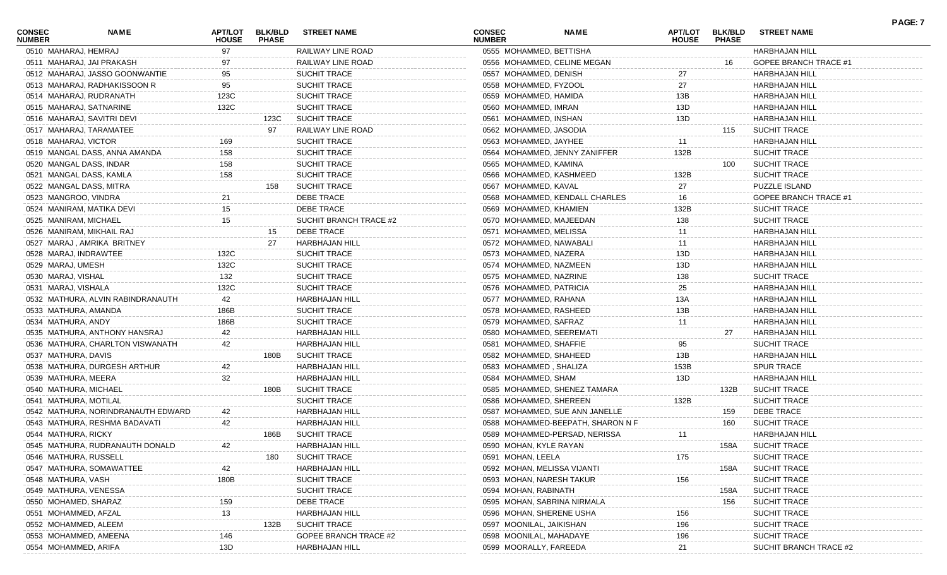| <b>CONSEC</b><br><b>NUMBER</b> | <b>NAME</b>                        | APT/LOT<br><b>HOUSE</b> | <b>BLK/BLD</b><br><b>PHASE</b> | <b>STREET NAME</b>           | <b>CONSEC</b><br><b>NUMBER</b> | <b>NAME</b>                       | <b>APT/LOT</b><br><b>HOUSE</b> | <b>BLK/BLD</b><br><b>PHASE</b> | <b>STREET NAME</b>           |  |
|--------------------------------|------------------------------------|-------------------------|--------------------------------|------------------------------|--------------------------------|-----------------------------------|--------------------------------|--------------------------------|------------------------------|--|
|                                | 0510 MAHARAJ, HEMRAJ               | 97                      |                                | RAILWAY LINE ROAD            |                                | 0555 MOHAMMED, BETTISHA           |                                |                                | <b>HARBHAJAN HILL</b>        |  |
|                                | 0511 MAHARAJ, JAI PRAKASH          | 97                      |                                | RAILWAY LINE ROAD            |                                | 0556 MOHAMMED, CELINE MEGAN       |                                | 16                             | <b>GOPEE BRANCH TRACE #1</b> |  |
|                                | 0512 MAHARAJ, JASSO GOONWANTIE     | 95                      |                                | <b>SUCHIT TRACE</b>          |                                | 0557 MOHAMMED, DENISH             | 27                             |                                | <b>HARBHAJAN HILL</b>        |  |
|                                | 0513 MAHARAJ, RADHAKISSOON R       | 95                      |                                | <b>SUCHIT TRACE</b>          |                                | 0558 MOHAMMED, FYZOOL             | 27                             |                                | <b>HARBHAJAN HILL</b>        |  |
|                                | 0514 MAHARAJ, RUDRANATH            | 123C                    |                                | <b>SUCHIT TRACE</b>          |                                | 0559 MOHAMMED, HAMIDA             | 13B                            |                                | <b>HARBHAJAN HILL</b>        |  |
|                                | 0515 MAHARAJ, SATNARINE            | 132C                    |                                | <b>SUCHIT TRACE</b>          |                                | 0560 MOHAMMED, IMRAN              | 13D                            |                                | <b>HARBHAJAN HILL</b>        |  |
|                                | 0516 MAHARAJ, SAVITRI DEVI         |                         | 123C                           | <b>SUCHIT TRACE</b>          |                                | 0561 MOHAMMED, INSHAN             | 13D                            |                                | <b>HARBHAJAN HILL</b>        |  |
|                                | 0517 MAHARAJ, TARAMATEE            |                         | 97                             | RAILWAY LINE ROAD            |                                | 0562 MOHAMMED, JASODIA            |                                | 115                            | <b>SUCHIT TRACE</b>          |  |
|                                | 0518 MAHARAJ, VICTOR               | 169                     |                                | <b>SUCHIT TRACE</b>          |                                | 0563 MOHAMMED, JAYHEE             | 11                             |                                | <b>HARBHAJAN HILL</b>        |  |
|                                | 0519 MANGAL DASS, ANNA AMANDA      | 158                     |                                | <b>SUCHIT TRACE</b>          |                                | 0564 MOHAMMED, JENNY ZANIFFER     | 132B                           |                                | <b>SUCHIT TRACE</b>          |  |
|                                | 0520 MANGAL DASS, INDAR            | 158                     |                                | <b>SUCHIT TRACE</b>          |                                | 0565 MOHAMMED, KAMINA             |                                | 100                            | <b>SUCHIT TRACE</b>          |  |
|                                | 0521 MANGAL DASS, KAMLA            | 158                     |                                | <b>SUCHIT TRACE</b>          |                                | 0566 MOHAMMED, KASHMEED           | 132B                           |                                | <b>SUCHIT TRACE</b>          |  |
|                                | 0522 MANGAL DASS, MITRA            |                         | 158                            | <b>SUCHIT TRACE</b>          |                                | 0567 MOHAMMED, KAVAL              | 27                             |                                | <b>PUZZLE ISLAND</b>         |  |
|                                | 0523 MANGROO, VINDRA               | 21                      |                                | DEBE TRACE                   |                                | 0568 MOHAMMED, KENDALL CHARLES    | 16                             |                                | GOPEE BRANCH TRACE #1        |  |
|                                | 0524 MANIRAM, MATIKA DEVI          | 15                      |                                | <b>DEBE TRACE</b>            |                                | 0569 MOHAMMED, KHAMIEN            | 132B                           |                                | <b>SUCHIT TRACE</b>          |  |
|                                | 0525 MANIRAM, MICHAEL              | 15                      |                                | SUCHIT BRANCH TRACE #2       |                                | 0570 MOHAMMED, MAJEEDAN           | 138                            |                                | <b>SUCHIT TRACE</b>          |  |
|                                | 0526 MANIRAM, MIKHAIL RAJ          |                         | 15                             | <b>DEBE TRACE</b>            |                                | 0571 MOHAMMED, MELISSA            | 11                             |                                | <b>HARBHAJAN HILL</b>        |  |
|                                | 0527 MARAJ, AMRIKA BRITNEY         |                         | 27                             | HARBHAJAN HILL               |                                | 0572 MOHAMMED, NAWABALI           | 11                             |                                | <b>HARBHAJAN HILL</b>        |  |
|                                | 0528 MARAJ, INDRAWTEE              | 132C                    |                                | <b>SUCHIT TRACE</b>          |                                | 0573 MOHAMMED, NAZERA             | 13D                            |                                | <b>HARBHAJAN HILL</b>        |  |
| 0529 MARAJ, UMESH              |                                    | 132C                    |                                | <b>SUCHIT TRACE</b>          |                                | 0574 MOHAMMED, NAZMEEN            | 13D                            |                                | <b>HARBHAJAN HILL</b>        |  |
| 0530 MARAJ, VISHAL             |                                    | 132                     |                                | <b>SUCHIT TRACE</b>          |                                | 0575 MOHAMMED, NAZRINE            | 138                            |                                | <b>SUCHIT TRACE</b>          |  |
| 0531 MARAJ, VISHALA            |                                    | 132C                    |                                | <b>SUCHIT TRACE</b>          |                                | 0576 MOHAMMED, PATRICIA           | 25                             |                                | <b>HARBHAJAN HILL</b>        |  |
|                                | 0532 MATHURA, ALVIN RABINDRANAUTH  | 42                      |                                | <b>HARBHAJAN HILL</b>        |                                | 0577 MOHAMMED, RAHANA             | 13A                            |                                | <b>HARBHAJAN HILL</b>        |  |
|                                | 0533 MATHURA, AMANDA               | 186B                    |                                | <b>SUCHIT TRACE</b>          |                                | 0578 MOHAMMED, RASHEED            | 13B                            |                                | <b>HARBHAJAN HILL</b>        |  |
|                                | 0534 MATHURA, ANDY                 | 186B                    |                                | <b>SUCHIT TRACE</b>          |                                | 0579 MOHAMMED, SAFRAZ             | 11                             |                                | <b>HARBHAJAN HILL</b>        |  |
|                                | 0535 MATHURA, ANTHONY HANSRAJ      | 42                      |                                | <b>HARBHAJAN HILL</b>        |                                | 0580 MOHAMMED, SEEREMATI          |                                | 27                             | <b>HARBHAJAN HILL</b>        |  |
|                                | 0536 MATHURA, CHARLTON VISWANATH   | 42                      |                                | <b>HARBHAJAN HILL</b>        |                                | 0581 MOHAMMED, SHAFFIE            | 95                             |                                | <b>SUCHIT TRACE</b>          |  |
|                                | 0537 MATHURA, DAVIS                |                         | 180B                           | <b>SUCHIT TRACE</b>          |                                | 0582 MOHAMMED, SHAHEED            | 13B                            |                                | <b>HARBHAJAN HILL</b>        |  |
|                                | 0538 MATHURA, DURGESH ARTHUR       | 42                      |                                | <b>HARBHAJAN HILL</b>        |                                | 0583 MOHAMMED, SHALIZA            | 153B                           |                                | <b>SPUR TRACE</b>            |  |
|                                | 0539 MATHURA, MEERA                | 32                      |                                | <b>HARBHAJAN HILL</b>        |                                | 0584 MOHAMMED, SHAM               | 13D                            |                                | <b>HARBHAJAN HILL</b>        |  |
|                                | 0540 MATHURA, MICHAEL              |                         | 180B                           | <b>SUCHIT TRACE</b>          |                                | 0585 MOHAMMED, SHENEZ TAMARA      |                                | 132B                           | <b>SUCHIT TRACE</b>          |  |
|                                | 0541 MATHURA, MOTILAL              |                         |                                | <b>SUCHIT TRACE</b>          |                                | 0586 MOHAMMED, SHEREEN            | 132B                           |                                | <b>SUCHIT TRACE</b>          |  |
|                                | 0542 MATHURA, NORINDRANAUTH EDWARD | 42                      |                                | <b>HARBHAJAN HILL</b>        |                                | 0587 MOHAMMED, SUE ANN JANELLE    |                                | 159                            | DEBE TRACE                   |  |
|                                | 0543 MATHURA, RESHMA BADAVATI      | 42                      |                                | <b>HARBHAJAN HILL</b>        |                                | 0588 MOHAMMED-BEEPATH, SHARON N F |                                | 160                            | <b>SUCHIT TRACE</b>          |  |
|                                | 0544 MATHURA, RICKY                |                         | 186B                           | <b>SUCHIT TRACE</b>          |                                | 0589 MOHAMMED-PERSAD, NERISSA     | 11                             |                                | <b>HARBHAJAN HILL</b>        |  |
|                                | 0545 MATHURA, RUDRANAUTH DONALD    |                         |                                | <b>HARBHAJAN HILL</b>        |                                | 0590 MOHAN, KYLE RAYAN            |                                |                                | 158A SUCHIT TRACE            |  |
|                                | 0546 MATHURA, RUSSELL              |                         | 180                            | <b>SUCHIT TRACE</b>          |                                | 0591 MOHAN, LEELA                 | 175                            |                                | <b>SUCHIT TRACE</b>          |  |
|                                | 0547 MATHURA, SOMAWATTEE           | 42                      |                                | HARBHAJAN HILL               |                                | 0592 MOHAN, MELISSA VIJANTI       |                                | 158A                           | <b>SUCHIT TRACE</b>          |  |
|                                | 0548 MATHURA, VASH                 | 180B                    |                                | SUCHIT TRACE                 |                                | 0593 MOHAN, NARESH TAKUR          | 156                            |                                | <b>SUCHIT TRACE</b>          |  |
|                                | 0549 MATHURA, VENESSA              |                         |                                | SUCHIT TRACE                 |                                | 0594 MOHAN, RABINATH              |                                | 158A                           | <b>SUCHIT TRACE</b>          |  |
|                                | 0550 MOHAMED, SHARAZ               | 159                     |                                | DEBE TRACE                   |                                | 0595 MOHAN, SABRINA NIRMALA       |                                | 156                            | <b>SUCHIT TRACE</b>          |  |
|                                | 0551 MOHAMMED, AFZAL               | 13                      |                                | HARBHAJAN HILL               |                                | 0596 MOHAN, SHERENE USHA          | 156                            |                                | <b>SUCHIT TRACE</b>          |  |
|                                | 0552 MOHAMMED, ALEEM               |                         | 132B                           | <b>SUCHIT TRACE</b>          |                                | 0597 MOONILAL, JAIKISHAN          | 196                            |                                | <b>SUCHIT TRACE</b>          |  |
|                                | 0553 MOHAMMED, AMEENA              | 146                     |                                | <b>GOPEE BRANCH TRACE #2</b> |                                | 0598 MOONILAL, MAHADAYE           | 196                            |                                | <b>SUCHIT TRACE</b>          |  |
|                                | 0554 MOHAMMED, ARIFA               | 13D                     |                                | HARBHAJAN HILL               |                                | 0599 MOORALLY, FAREEDA            | 21                             |                                | SUCHIT BRANCH TRACE #2       |  |

**PAGE: 7**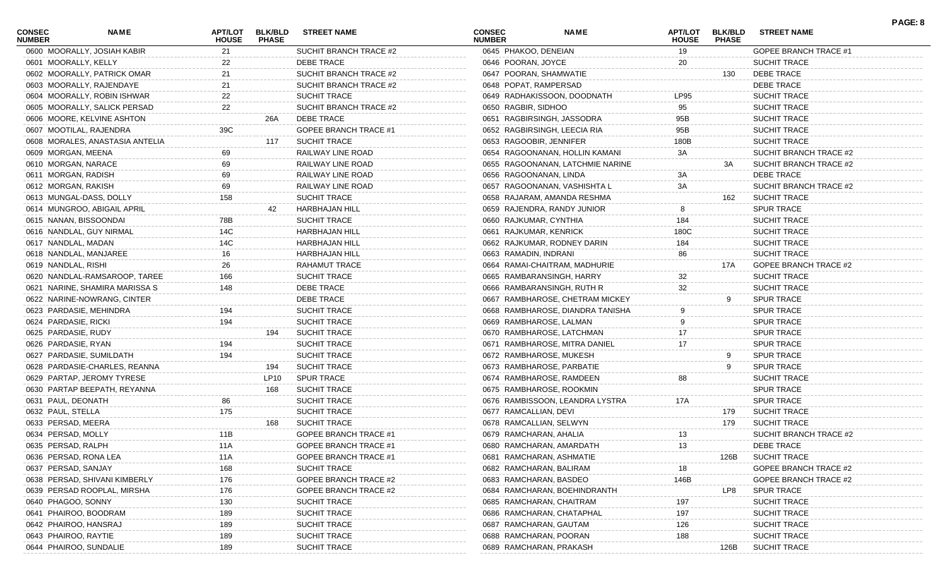| <b>CONSEC</b><br><b>NUMBER</b> | <b>NAME</b>                     | <b>APT/LOT</b><br><b>HOUSE</b> | <b>BLK/BLD</b><br><b>PHASE</b> | <b>STREET NAME</b>           | <b>CONSEC</b><br><b>NUMBER</b> | <b>NAME</b>                      | <b>APT/LOT</b><br><b>HOUSE</b> | <b>BLK/BLD</b><br><b>PHASE</b> | <b>STREET NAME</b>           | PAGE: 8 |
|--------------------------------|---------------------------------|--------------------------------|--------------------------------|------------------------------|--------------------------------|----------------------------------|--------------------------------|--------------------------------|------------------------------|---------|
|                                | 0600 MOORALLY, JOSIAH KABIR     | 21                             |                                | SUCHIT BRANCH TRACE #2       | 0645 PHAKOO, DENEIAN           |                                  | 19                             |                                | GOPEE BRANCH TRACE #1        |         |
| 0601 MOORALLY, KELLY           |                                 | 22                             |                                | <b>DEBE TRACE</b>            | 0646 POORAN, JOYCE             |                                  | 20                             |                                | <b>SUCHIT TRACE</b>          |         |
|                                | 0602 MOORALLY, PATRICK OMAR     | 21                             |                                | SUCHIT BRANCH TRACE #2       | 0647 POORAN, SHAMWATIE         |                                  |                                | 130                            | DEBE TRACE                   |         |
|                                | 0603 MOORALLY, RAJENDAYE        | 21                             |                                | SUCHIT BRANCH TRACE #2       | 0648 POPAT, RAMPERSAD          |                                  |                                |                                | <b>DEBE TRACE</b>            |         |
|                                | 0604 MOORALLY, ROBIN ISHWAR     | 22                             |                                | SUCHIT TRACE                 |                                | 0649 RADHAKISSOON, DOODNATH      | LP95                           |                                | <b>SUCHIT TRACE</b>          |         |
|                                | 0605 MOORALLY, SALICK PERSAD    | 22                             |                                | SUCHIT BRANCH TRACE #2       | 0650 RAGBIR, SIDHOO            |                                  | 95                             |                                | <b>SUCHIT TRACE</b>          |         |
|                                | 0606 MOORE, KELVINE ASHTON      |                                | 26A                            | <b>DEBE TRACE</b>            |                                | 0651 RAGBIRSINGH, JASSODRA       | 95B                            |                                | <b>SUCHIT TRACE</b>          |         |
|                                | 0607 MOOTILAL, RAJENDRA         | 39C                            |                                | <b>GOPEE BRANCH TRACE #1</b> |                                | 0652 RAGBIRSINGH, LEECIA RIA     | 95B                            |                                | <b>SUCHIT TRACE</b>          |         |
|                                | 0608 MORALES, ANASTASIA ANTELIA |                                | 117                            | <b>SUCHIT TRACE</b>          | 0653 RAGOOBIR, JENNIFER        |                                  | 180B                           |                                | <b>SUCHIT TRACE</b>          |         |
| 0609 MORGAN, MEENA             |                                 | 69                             |                                | RAILWAY LINE ROAD            |                                | 0654 RAGOONANAN, HOLLIN KAMANI   | 3A                             |                                | SUCHIT BRANCH TRACE #2       |         |
| 0610 MORGAN, NARACE            |                                 | 69                             |                                | RAILWAY LINE ROAD            |                                | 0655 RAGOONANAN, LATCHMIE NARINE |                                | 3A                             | SUCHIT BRANCH TRACE #2       |         |
| 0611 MORGAN, RADISH            |                                 | 69                             |                                | RAILWAY LINE ROAD            | 0656 RAGOONANAN, LINDA         |                                  | 3A                             |                                | <b>DEBE TRACE</b>            |         |
| 0612 MORGAN, RAKISH            |                                 | 69                             |                                | RAILWAY LINE ROAD            |                                | 0657 RAGOONANAN, VASHISHTA L     | 3A                             |                                | SUCHIT BRANCH TRACE #2       |         |
|                                | 0613 MUNGAL-DASS, DOLLY         | 158                            |                                | <b>SUCHIT TRACE</b>          |                                | 0658 RAJARAM, AMANDA RESHMA      |                                | 162                            | <b>SUCHIT TRACE</b>          |         |
|                                | 0614 MUNGROO, ABIGAIL APRIL     |                                | 42                             | HARBHAJAN HILL               |                                | 0659 RAJENDRA, RANDY JUNIOR      | 8                              |                                | <b>SPUR TRACE</b>            |         |
| 0615 NANAN, BISSOONDAI         |                                 | 78B                            |                                | SUCHIT TRACE                 | 0660 RAJKUMAR, CYNTHIA         |                                  | 184                            |                                | <b>SUCHIT TRACE</b>          |         |
|                                | 0616 NANDLAL, GUY NIRMAL        | 14C                            |                                | <b>HARBHAJAN HILL</b>        | 0661 RAJKUMAR, KENRICK         |                                  | 180C                           |                                | <b>SUCHIT TRACE</b>          |         |
| 0617 NANDLAL, MADAN            |                                 | 14C                            |                                | <b>HARBHAJAN HILL</b>        |                                | 0662 RAJKUMAR, RODNEY DARIN      | 184                            |                                | <b>SUCHIT TRACE</b>          |         |
|                                | 0618 NANDLAL, MANJAREE          | 16                             |                                | <b>HARBHAJAN HILL</b>        | 0663 RAMADIN, INDRANI          |                                  | 86                             |                                | <b>SUCHIT TRACE</b>          |         |
| 0619 NANDLAL, RISHI            |                                 | 26                             |                                | RAHAMUT TRACE                |                                | 0664 RAMAI-CHAITRAM, MADHURIE    |                                | 17A                            | GOPEE BRANCH TRACE #2        |         |
|                                | 0620 NANDLAL-RAMSAROOP, TAREE   | 166                            |                                | SUCHIT TRACE                 |                                | 0665 RAMBARANSINGH, HARRY        | 32                             |                                | <b>SUCHIT TRACE</b>          |         |
|                                | 0621 NARINE, SHAMIRA MARISSA S  | 148                            |                                | <b>DEBE TRACE</b>            |                                | 0666 RAMBARANSINGH, RUTH R       | 32                             |                                | <b>SUCHIT TRACE</b>          |         |
|                                | 0622 NARINE-NOWRANG, CINTER     |                                |                                | <b>DEBE TRACE</b>            |                                | 0667 RAMBHAROSE, CHETRAM MICKEY  |                                | 9                              | <b>SPUR TRACE</b>            |         |
|                                | 0623 PARDASIE, MEHINDRA         | 194                            |                                | SUCHIT TRACE                 |                                | 0668 RAMBHAROSE, DIANDRA TANISHA |                                |                                | <b>SPUR TRACE</b>            |         |
| 0624 PARDASIE, RICKI           |                                 | 194                            |                                | SUCHIT TRACE                 |                                | 0669 RAMBHAROSE, LALMAN          | 9                              |                                | <b>SPUR TRACE</b>            |         |
| 0625 PARDASIE, RUDY            |                                 |                                | 194                            | <b>SUCHIT TRACE</b>          |                                | 0670 RAMBHAROSE, LATCHMAN        | 17                             |                                | <b>SPUR TRACE</b>            |         |
|                                |                                 | 194                            |                                | SUCHIT TRACE                 |                                |                                  | 17                             |                                | <b>SPUR TRACE</b>            |         |
| 0626 PARDASIE, RYAN            |                                 | 194                            |                                | SUCHIT TRACE                 |                                | 0671 RAMBHAROSE, MITRA DANIEL    |                                |                                | <b>SPUR TRACE</b>            |         |
|                                | 0627 PARDASIE, SUMILDATH        |                                |                                |                              |                                | 0672 RAMBHAROSE, MUKESH          |                                | 9                              |                              |         |
|                                | 0628 PARDASIE-CHARLES, REANNA   |                                | 194                            | <b>SUCHIT TRACE</b>          |                                | 0673 RAMBHAROSE, PARBATIE        |                                |                                | <b>SPUR TRACE</b>            |         |
|                                | 0629 PARTAP, JEROMY TYRESE      |                                | LP10                           | <b>SPUR TRACE</b>            |                                | 0674 RAMBHAROSE, RAMDEEN         | 88                             |                                | <b>SUCHIT TRACE</b>          |         |
|                                | 0630 PARTAP BEEPATH, REYANNA    |                                | 168                            | <b>SUCHIT TRACE</b>          |                                | 0675 RAMBHAROSE, ROOKMIN         |                                |                                | <b>SPUR TRACE</b>            |         |
| 0631 PAUL, DEONATH             |                                 | 86                             |                                | SUCHIT TRACE                 |                                | 0676 RAMBISSOON, LEANDRA LYSTRA  | 17A                            |                                | <b>SPUR TRACE</b>            |         |
| 0632 PAUL, STELLA              |                                 | 175                            |                                | <b>SUCHIT TRACE</b>          | 0677 RAMCALLIAN, DEVI          |                                  |                                | 179                            | <b>SUCHIT TRACE</b>          |         |
| 0633 PERSAD, MEERA             |                                 |                                | 168                            | <b>SUCHIT TRACE</b>          | 0678 RAMCALLIAN, SELWYN        |                                  |                                | 179                            | <b>SUCHIT TRACE</b>          |         |
| 0634 PERSAD, MOLLY             |                                 | 11B                            |                                | GOPEE BRANCH TRACE #1        | 0679 RAMCHARAN, AHALIA         |                                  | 13.                            |                                | SUCHIT BRANCH TRACE #2       |         |
| 0635 PERSAD, RALPH             |                                 | 11A                            |                                | GOPEE BRANCH TRACE #1        |                                | 0680 RAMCHARAN, AMARDATH         | 13                             |                                | <b>DEBE TRACE</b>            |         |
| 0636 PERSAD, RONA LEA          |                                 | 11A                            |                                | GOPEE BRANCH TRACE #1        |                                | 0681 RAMCHARAN, ASHMATIE         |                                | 126B                           | <b>SUCHIT TRACE</b>          |         |
| 0637 PERSAD, SANJAY            |                                 | 168                            |                                | <b>SUCHIT TRACE</b>          |                                | 0682 RAMCHARAN, BALIRAM          | 18                             |                                | GOPEE BRANCH TRACE #2        |         |
|                                | 0638 PERSAD, SHIVANI KIMBERLY   | 176                            |                                | GOPEE BRANCH TRACE #2        | 0683 RAMCHARAN, BASDEO         |                                  | 146B                           |                                | <b>GOPEE BRANCH TRACE #2</b> |         |
|                                | 0639 PERSAD ROOPLAL, MIRSHA     | 176                            |                                | GOPEE BRANCH TRACE #2        |                                | 0684 RAMCHARAN, BOEHINDRANTH     |                                | LP8                            | <b>SPUR TRACE</b>            |         |
| 0640 PHAGOO, SONNY             |                                 | 130                            |                                | SUCHIT TRACE                 |                                | 0685 RAMCHARAN, CHAITRAM         | 197                            |                                | <b>SUCHIT TRACE</b>          |         |
| 0641 PHAIROO, BOODRAM          |                                 | 189                            |                                | SUCHIT TRACE                 |                                | 0686 RAMCHARAN, CHATAPHAL        | 197                            |                                | <b>SUCHIT TRACE</b>          |         |
| 0642 PHAIROO, HANSRAJ          |                                 | 189                            |                                | SUCHIT TRACE                 |                                | 0687 RAMCHARAN, GAUTAM           | 126                            |                                | <b>SUCHIT TRACE</b>          |         |
| 0643 PHAIROO, RAYTIE           |                                 | 189                            |                                | <b>SUCHIT TRACE</b>          |                                | 0688 RAMCHARAN, POORAN           | 188                            |                                | <b>SUCHIT TRACE</b>          |         |
| 0644 PHAIROO, SUNDALIE         |                                 | 189                            |                                | SUCHIT TRACE                 |                                | 0689 RAMCHARAN, PRAKASH          |                                | 126B                           | <b>SUCHIT TRACE</b>          |         |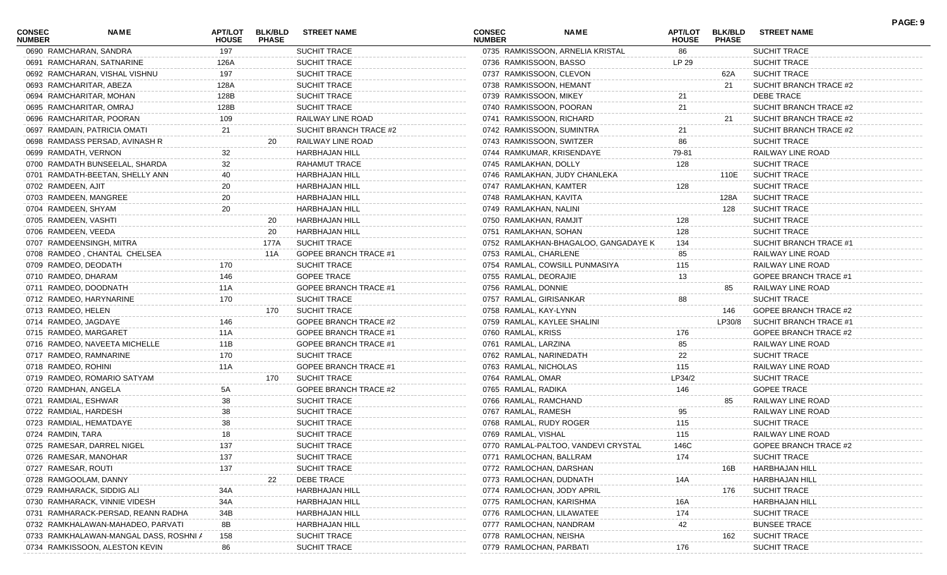| <b>CONSEC</b><br><b>NUMBER</b> | <b>NAME</b>                            | APT/LOT<br><b>HOUSE</b> | <b>BLK/BLD</b><br><b>PHASE</b> | <b>STREET NAME</b>           | <b>CONSEC</b><br><b>NUMBER</b>   | <b>NAME</b>                          | <b>APT/LOT</b><br><b>HOUSE</b> | <b>BLK/BLD</b><br><b>PHASE</b> | <b>STREET NAME</b>     | PAGE: 9 |
|--------------------------------|----------------------------------------|-------------------------|--------------------------------|------------------------------|----------------------------------|--------------------------------------|--------------------------------|--------------------------------|------------------------|---------|
|                                | 0690 RAMCHARAN, SANDRA                 | 197                     |                                | <b>SUCHIT TRACE</b>          | 0735 RAMKISSOON, ARNELIA KRISTAL |                                      | 86                             |                                | SUCHIT TRACE           |         |
|                                | 0691 RAMCHARAN, SATNARINE              | 126A                    |                                | <b>SUCHIT TRACE</b>          | 0736 RAMKISSOON, BASSO           |                                      | LP 29                          |                                | <b>SUCHIT TRACE</b>    |         |
|                                | 0692 RAMCHARAN, VISHAL VISHNU          | 197                     |                                | SUCHIT TRACE                 | 0737 RAMKISSOON, CLEVON          |                                      |                                | 62A                            | <b>SUCHIT TRACE</b>    |         |
|                                | 0693 RAMCHARITAR, ABEZA                | 128A                    |                                | <b>SUCHIT TRACE</b>          | 0738 RAMKISSOON, HEMANT          |                                      |                                | 21                             | SUCHIT BRANCH TRACE #2 |         |
|                                | 0694 RAMCHARITAR, MOHAN                | 128B                    |                                | <b>SUCHIT TRACE</b>          | 0739 RAMKISSOON, MIKEY           |                                      | 21                             |                                | DEBE TRACE             |         |
|                                | 0695 RAMCHARITAR, OMRAJ                | 128B                    |                                | <b>SUCHIT TRACE</b>          | 0740 RAMKISSOON, POORAN          |                                      | 21                             |                                | SUCHIT BRANCH TRACE #2 |         |
|                                | 0696 RAMCHARITAR, POORAN               | 109                     |                                | RAILWAY LINE ROAD            | 0741 RAMKISSOON, RICHARD         |                                      |                                | -21                            | SUCHIT BRANCH TRACE #2 |         |
|                                | 0697 RAMDAIN, PATRICIA OMATI           | 21                      |                                | SUCHIT BRANCH TRACE #2       | 0742 RAMKISSOON, SUMINTRA        |                                      | 21                             |                                | SUCHIT BRANCH TRACE #2 |         |
|                                | 0698 RAMDASS PERSAD, AVINASH R         |                         | 20                             | RAILWAY LINE ROAD            | 0743 RAMKISSOON, SWITZER         |                                      | 86                             |                                | <b>SUCHIT TRACE</b>    |         |
| 0699 RAMDATH, VERNON           |                                        | 32                      |                                | <b>HARBHAJAN HILL</b>        | 0744 RAMKUMAR, KRISENDAYE        |                                      | 79-81                          |                                | RAILWAY LINE ROAD      |         |
|                                | 0700 RAMDATH BUNSEELAL, SHARDA         | 32                      |                                | <b>RAHAMUT TRACE</b>         | 0745 RAMLAKHAN, DOLLY            |                                      | 128                            |                                | SUCHIT TRACE           |         |
|                                | 0701 RAMDATH-BEETAN, SHELLY ANN        | 40                      |                                | <b>HARBHAJAN HILL</b>        | 0746 RAMLAKHAN, JUDY CHANLEKA    |                                      |                                | 110E                           | SUCHIT TRACE           |         |
| 0702 RAMDEEN, AJIT             |                                        | 20                      |                                | <b>HARBHAJAN HILL</b>        | 0747 RAMLAKHAN, KAMTER           |                                      | 128                            |                                | <b>SUCHIT TRACE</b>    |         |
|                                | 0703 RAMDEEN, MANGREE                  | 20                      |                                | <b>HARBHAJAN HILL</b>        | 0748 RAMLAKHAN, KAVITA           |                                      |                                | 128A                           | <b>SUCHIT TRACE</b>    |         |
| 0704 RAMDEEN, SHYAM            |                                        | 20                      |                                | <b>HARBHAJAN HILL</b>        | 0749 RAMLAKHAN, NALINI           |                                      |                                | 128                            | <b>SUCHIT TRACE</b>    |         |
| 0705 RAMDEEN, VASHTI           |                                        |                         | 20                             | HARBHAJAN HILL               | 0750 RAMLAKHAN, RAMJIT           |                                      | 128                            |                                | SUCHIT TRACE           |         |
| 0706 RAMDEEN, VEEDA            |                                        |                         | 20                             | HARBHAJAN HILL               | 0751 RAMLAKHAN, SOHAN            |                                      | 128                            |                                | <b>SUCHIT TRACE</b>    |         |
|                                | 0707 RAMDEENSINGH, MITRA               |                         | 177A                           | <b>SUCHIT TRACE</b>          |                                  | 0752 RAMLAKHAN-BHAGALOO, GANGADAYE K | 134                            |                                | SUCHIT BRANCH TRACE #1 |         |
|                                | 0708 RAMDEO, CHANTAL CHELSEA           |                         | 11A                            | <b>GOPEE BRANCH TRACE #1</b> | 0753 RAMLAL, CHARLENE            |                                      | 85                             |                                | RAILWAY LINE ROAD      |         |
| 0709 RAMDEO, DEODATH           |                                        | 170                     |                                | <b>SUCHIT TRACE</b>          | 0754 RAMLAL, COWSILL PUNMASIYA   |                                      | 115                            |                                | RAILWAY LINE ROAD      |         |
| 0710 RAMDEO, DHARAM            |                                        | 146                     |                                | <b>GOPEE TRACE</b>           | 0755 RAMLAL, DEORAJIE            |                                      | 13                             |                                | GOPEE BRANCH TRACE #1  |         |
|                                | 0711 RAMDEO, DOODNATH                  | 11A                     |                                | GOPEE BRANCH TRACE #1        | 0756 RAMLAL, DONNIE              |                                      |                                | 85                             | RAILWAY LINE ROAD      |         |
|                                | 0712 RAMDEO, HARYNARINE                | 170                     |                                | <b>SUCHIT TRACE</b>          | 0757 RAMLAL, GIRISANKAR          |                                      | 88                             |                                | SUCHIT TRACE           |         |
| 0713 RAMDEO, HELEN             |                                        |                         | 170                            | <b>SUCHIT TRACE</b>          | 0758 RAMLAL, KAY-LYNN            |                                      |                                | 146                            | GOPEE BRANCH TRACE #2  |         |
| 0714 RAMDEO, JAGDAYE           |                                        | 146                     |                                | GOPEE BRANCH TRACE #2        | 0759 RAMLAL, KAYLEE SHALINI      |                                      |                                | LP30/8                         | SUCHIT BRANCH TRACE #1 |         |
|                                | 0715 RAMDEO, MARGARET                  | 11A                     |                                | GOPEE BRANCH TRACE #1        | 0760 RAMLAL, KRISS               |                                      | 176                            |                                | GOPEE BRANCH TRACE #2  |         |
|                                | 0716 RAMDEO, NAVEETA MICHELLE          | 11B                     |                                | GOPEE BRANCH TRACE #1        | 0761 RAMLAL, LARZINA             |                                      | 85                             |                                | RAILWAY LINE ROAD      |         |
|                                | 0717 RAMDEO, RAMNARINE                 | 170                     |                                | <b>SUCHIT TRACE</b>          | 0762 RAMLAL, NARINEDATH          |                                      | 22                             |                                | SUCHIT TRACE           |         |
| 0718 RAMDEO, ROHINI            |                                        | 11A                     |                                | GOPEE BRANCH TRACE #1        | 0763 RAMLAL, NICHOLAS            |                                      | 115                            |                                | RAILWAY LINE ROAD      |         |
|                                | 0719 RAMDEO, ROMARIO SATYAM            |                         | 170                            | <b>SUCHIT TRACE</b>          | 0764 RAMLAL, OMAR                |                                      | LP34/2                         |                                | <b>SUCHIT TRACE</b>    |         |
| 0720 RAMDHAN, ANGELA           |                                        | 5A                      |                                | <b>GOPEE BRANCH TRACE #2</b> | 0765 RAMLAL, RADIKA              |                                      | 146                            |                                | <b>GOPEE TRACE</b>     |         |
| 0721 RAMDIAL, ESHWAR           |                                        | 38                      |                                | <b>SUCHIT TRACE</b>          | 0766 RAMLAL, RAMCHAND            |                                      |                                | 85                             | RAILWAY LINE ROAD      |         |
| 0722 RAMDIAL, HARDESH          |                                        | 38                      |                                | <b>SUCHIT TRACE</b>          | 0767 RAMLAL, RAMESH              |                                      | 95                             |                                | RAILWAY LINE ROAD      |         |
|                                | 0723 RAMDIAL, HEMATDAYE                | 38                      |                                | <b>SUCHIT TRACE</b>          | 0768 RAMLAL, RUDY ROGER          |                                      | 115                            |                                | SUCHIT TRACE           |         |
| 0724 RAMDIN, TARA              |                                        | 18                      |                                | <b>SUCHIT TRACE</b>          | 0769 RAMLAL, VISHAL              |                                      | 115                            |                                | RAILWAY LINE ROAD      |         |
|                                | 0725 RAMESAR, DARREL NIGEL             | 137                     |                                | SUCHIT TRACE                 |                                  | 0770 RAMLAL-PALTOO, VANDEVI CRYSTAL  | 146C                           |                                | GOPEE BRANCH TRACE #2  |         |
|                                | 0726 RAMESAR, MANOHAR                  | 137                     |                                | <b>SUCHIT TRACE</b>          | 0771 RAMLOCHAN, BALLRAM          |                                      | 174                            |                                | <b>SUCHIT TRACE</b>    |         |
| 0727 RAMESAR, ROUTI            |                                        | 137                     |                                | SUCHIT TRACE                 | 0772 RAMLOCHAN, DARSHAN          |                                      |                                | 16B                            | HARBHAJAN HILL         |         |
|                                | 0728 RAMGOOLAM, DANNY                  |                         | 22                             | DEBE TRACE                   | 0773 RAMLOCHAN, DUDNATH          |                                      | 14A                            |                                | HARBHAJAN HILL         |         |
|                                | 0729 RAMHARACK, SIDDIG ALI             | 34A                     |                                | HARBHAJAN HILL               | 0774 RAMLOCHAN, JODY APRIL       |                                      |                                | 176                            | SUCHIT TRACE           |         |
|                                | 0730 RAMHARACK, VINNIE VIDESH          |                         |                                | <b>HARBHAJAN HILL</b>        | 0775 RAMLOCHAN, KARISHMA         |                                      |                                |                                | HARBHAJAN HILL         |         |
|                                | 0731 RAMHARACK-PERSAD, REANN RADHA     | 34A                     |                                | <b>HARBHAJAN HILL</b>        | 0776 RAMLOCHAN, LILAWATEE        |                                      | 16A<br>174                     |                                | SUCHIT TRACE           |         |
|                                | 0732 RAMKHALAWAN-MAHADEO, PARVATI      | 34B                     |                                | <b>HARBHAJAN HILL</b>        | 0777 RAMLOCHAN, NANDRAM          |                                      |                                |                                | <b>BUNSEE TRACE</b>    |         |
|                                | 0733 RAMKHALAWAN-MANGAL DASS, ROSHNI / | 8B                      |                                | SUCHIT TRACE                 | 0778 RAMLOCHAN, NEISHA           |                                      | 42                             |                                | <b>SUCHIT TRACE</b>    |         |
|                                | 0734 RAMKISSOON, ALESTON KEVIN         | 158<br>86               |                                | SUCHIT TRACE                 | 0779 RAMLOCHAN, PARBATI          |                                      | 176                            | 162                            | SUCHIT TRACE           |         |
|                                |                                        |                         |                                |                              |                                  |                                      |                                |                                |                        |         |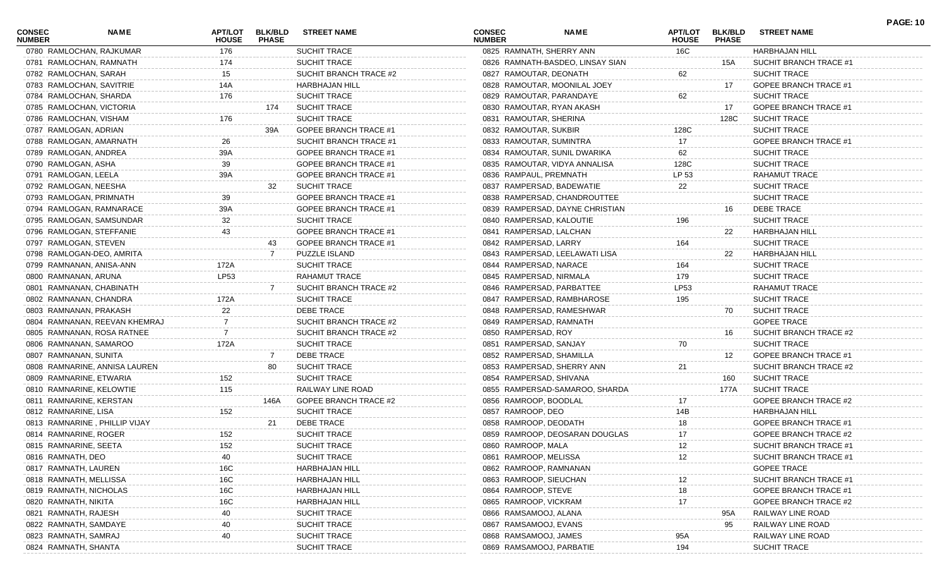| <b>CONSEC</b><br><b>NUMBER</b> | NAME                          | APT/LOT<br><b>HOUSE</b> | <b>BLK/BLD</b><br><b>PHASE</b> | <b>STREET NAME</b>           | <b>CONSEC</b><br><b>NUMBER</b> | <b>NAME</b>                      | APT/LOT<br><b>HOUSE</b> | <b>BLK/BLD</b><br><b>PHASE</b> | <b>STREET NAME</b>           | <b>PAGE: 10</b> |
|--------------------------------|-------------------------------|-------------------------|--------------------------------|------------------------------|--------------------------------|----------------------------------|-------------------------|--------------------------------|------------------------------|-----------------|
|                                | 0780 RAMLOCHAN, RAJKUMAR      | 176                     |                                | SUCHIT TRACE                 | 0825 RAMNATH, SHERRY ANN       |                                  | 16C                     |                                | <b>HARBHAJAN HILL</b>        |                 |
|                                | 0781 RAMLOCHAN, RAMNATH       | 174                     |                                | SUCHIT TRACE                 |                                | 0826 RAMNATH-BASDEO, LINSAY SIAN |                         | 15A                            | SUCHIT BRANCH TRACE #1       |                 |
|                                | 0782 RAMLOCHAN, SARAH         | 15                      |                                | SUCHIT BRANCH TRACE #2       | 0827 RAMOUTAR, DEONATH         |                                  | 62                      |                                | SUCHIT TRACE                 |                 |
|                                | 0783 RAMLOCHAN, SAVITRIE      | 14A                     |                                | <b>HARBHAJAN HILL</b>        |                                | 0828 RAMOUTAR, MOONILAL JOEY     |                         | 17                             | <b>GOPEE BRANCH TRACE #1</b> |                 |
|                                | 0784 RAMLOCHAN, SHARDA        | 176                     |                                | SUCHIT TRACE                 | 0829 RAMOUTAR, PARANDAYE       |                                  | 62                      |                                | <b>SUCHIT TRACE</b>          |                 |
|                                | 0785 RAMLOCHAN, VICTORIA      |                         | 174                            | <b>SUCHIT TRACE</b>          | 0830 RAMOUTAR, RYAN AKASH      |                                  |                         | 17                             | <b>GOPEE BRANCH TRACE #1</b> |                 |
|                                | 0786 RAMLOCHAN, VISHAM        | 176                     |                                | <b>SUCHIT TRACE</b>          | 0831 RAMOUTAR, SHERINA         |                                  |                         | 128C                           | <b>SUCHIT TRACE</b>          |                 |
|                                | 0787 RAMLOGAN, ADRIAN         |                         | 39A                            | <b>GOPEE BRANCH TRACE #1</b> | 0832 RAMOUTAR, SUKBIR          |                                  | 128C                    |                                | <b>SUCHIT TRACE</b>          |                 |
|                                | 0788 RAMLOGAN, AMARNATH       | 26                      |                                | SUCHIT BRANCH TRACE #1       | 0833 RAMOUTAR, SUMINTRA        |                                  | 17                      |                                | GOPEE BRANCH TRACE #1        |                 |
|                                | 0789 RAMLOGAN, ANDREA         | 39A                     |                                | GOPEE BRANCH TRACE #1        |                                | 0834 RAMOUTAR, SUNIL DWARIKA     | 62                      |                                | <b>SUCHIT TRACE</b>          |                 |
| 0790 RAMLOGAN, ASHA            |                               | 39                      |                                | GOPEE BRANCH TRACE #1        |                                | 0835 RAMOUTAR, VIDYA ANNALISA    | 128C                    |                                | <b>SUCHIT TRACE</b>          |                 |
| 0791 RAMLOGAN, LEELA           |                               | 39A                     |                                | GOPEE BRANCH TRACE #1        | 0836 RAMPAUL, PREMNATH         |                                  | LP 53                   |                                | RAHAMUT TRACE                |                 |
|                                | 0792 RAMLOGAN, NEESHA         |                         | 32                             | <b>SUCHIT TRACE</b>          | 0837 RAMPERSAD, BADEWATIE      |                                  | 22                      |                                | <b>SUCHIT TRACE</b>          |                 |
|                                | 0793 RAMLOGAN, PRIMNATH       | 39                      |                                | GOPEE BRANCH TRACE #1        |                                | 0838 RAMPERSAD, CHANDROUTTEE     |                         |                                | <b>SUCHIT TRACE</b>          |                 |
|                                | 0794 RAMLOGAN, RAMNARACE      | 39A                     |                                | GOPEE BRANCH TRACE #1        |                                | 0839 RAMPERSAD, DAYNE CHRISTIAN  |                         | 16                             | <b>DEBE TRACE</b>            |                 |
|                                | 0795 RAMLOGAN, SAMSUNDAR      | 32                      |                                | <b>SUCHIT TRACE</b>          | 0840 RAMPERSAD, KALOUTIE       |                                  | 196                     |                                | SUCHIT TRACE                 |                 |
|                                | 0796 RAMLOGAN, STEFFANIE      | 43                      |                                | GOPEE BRANCH TRACE #1        | 0841 RAMPERSAD, LALCHAN        |                                  |                         | 22                             | HARBHAJAN HILL               |                 |
|                                | 0797 RAMLOGAN, STEVEN         |                         | 43                             | GOPEE BRANCH TRACE #1        | 0842 RAMPERSAD, LARRY          |                                  | 164                     |                                | <b>SUCHIT TRACE</b>          |                 |
|                                | 0798 RAMLOGAN-DEO, AMRITA     |                         |                                | PUZZLE ISLAND                |                                | 0843 RAMPERSAD, LEELAWATI LISA   |                         | 22                             | <b>HARBHAJAN HILL</b>        |                 |
|                                | 0799 RAMNANAN, ANISA-ANN      | 172A                    |                                | <b>SUCHIT TRACE</b>          | 0844 RAMPERSAD, NARACE         |                                  | 164                     |                                | SUCHIT TRACE                 |                 |
| 0800 RAMNANAN, ARUNA           |                               | LP53                    |                                | RAHAMUT TRACE                | 0845 RAMPERSAD, NIRMALA        |                                  | 179                     |                                | <b>SUCHIT TRACE</b>          |                 |
|                                | 0801 RAMNANAN, CHABINATH      |                         | -7                             | SUCHIT BRANCH TRACE #2       | 0846 RAMPERSAD, PARBATTEE      |                                  | LP53                    |                                | RAHAMUT TRACE                |                 |
|                                | 0802 RAMNANAN, CHANDRA        | 172A                    |                                | SUCHIT TRACE                 | 0847 RAMPERSAD, RAMBHAROSE     |                                  | 195                     |                                | <b>SUCHIT TRACE</b>          |                 |
|                                | 0803 RAMNANAN, PRAKASH        | 22                      |                                | <b>DEBE TRACE</b>            | 0848 RAMPERSAD, RAMESHWAR      |                                  |                         | 70                             | <b>SUCHIT TRACE</b>          |                 |
|                                | 0804 RAMNANAN, REEVAN KHEMRAJ |                         |                                | SUCHIT BRANCH TRACE #2       | 0849 RAMPERSAD, RAMNATH        |                                  |                         |                                | <b>GOPEE TRACE</b>           |                 |
|                                | 0805 RAMNANAN, ROSA RATNEE    |                         |                                | SUCHIT BRANCH TRACE #2       | 0850 RAMPERSAD, ROY            |                                  |                         | 16                             | SUCHIT BRANCH TRACE #2       |                 |
|                                | 0806 RAMNANAN, SAMAROO        | 172A                    |                                | <b>SUCHIT TRACE</b>          | 0851 RAMPERSAD, SANJAY         |                                  | 70                      |                                | <b>SUCHIT TRACE</b>          |                 |
|                                | 0807 RAMNANAN, SUNITA         |                         |                                | DEBE TRACE                   | 0852 RAMPERSAD, SHAMILLA       |                                  |                         | 12                             | GOPEE BRANCH TRACE #1        |                 |
|                                | 0808 RAMNARINE, ANNISA LAUREN |                         | 80                             | <b>SUCHIT TRACE</b>          | 0853 RAMPERSAD, SHERRY ANN     |                                  | 21                      |                                | SUCHIT BRANCH TRACE #2       |                 |
|                                | 0809 RAMNARINE, ETWARIA       | 152                     |                                | <b>SUCHIT TRACE</b>          | 0854 RAMPERSAD, SHIVANA        |                                  |                         | 160                            | <b>SUCHIT TRACE</b>          |                 |
|                                | 0810 RAMNARINE, KELOWTIE      | 115                     |                                | RAILWAY LINE ROAD            |                                | 0855 RAMPERSAD-SAMAROO, SHARDA   |                         | 177A                           | <b>SUCHIT TRACE</b>          |                 |
|                                |                               |                         |                                | <b>GOPEE BRANCH TRACE #2</b> |                                |                                  | 17                      |                                | <b>GOPEE BRANCH TRACE #2</b> |                 |
|                                | 0811 RAMNARINE, KERSTAN       |                         | 146A                           |                              | 0856 RAMROOP, BOODLAL          |                                  |                         |                                | <b>HARBHAJAN HILL</b>        |                 |
| 0812 RAMNARINE, LISA           |                               | 152                     |                                | SUCHIT TRACE                 | 0857 RAMROOP, DEO              |                                  | 14B                     |                                |                              |                 |
|                                | 0813 RAMNARINE, PHILLIP VIJAY |                         | 21                             | <b>DEBE TRACE</b>            | 0858 RAMROOP, DEODATH          |                                  | 18                      |                                | GOPEE BRANCH TRACE #1        |                 |
|                                | 0814 RAMNARINE, ROGER         | 152                     |                                | <b>SUCHIT TRACE</b>          |                                | 0859 RAMROOP, DEOSARAN DOUGLAS   | 17                      |                                | <b>GOPEE BRANCH TRACE #2</b> |                 |
|                                | 0815 RAMNARINE, SEETA         | 152                     |                                | SUCHIT TRACE                 | 0860 RAMROOP, MALA             |                                  | 12                      |                                | SUCHIT BRANCH TRACE #1       |                 |
| 0816 RAMNATH, DEO              |                               | 40                      |                                | SUCHIT TRACE                 | 0861 RAMROOP, MELISSA          |                                  | 12                      |                                | SUCHIT BRANCH TRACE #1       |                 |
| 0817 RAMNATH, LAUREN           |                               | 16C                     |                                | <b>HARBHAJAN HILL</b>        | 0862 RAMROOP, RAMNANAN         |                                  |                         |                                | <b>GOPEE TRACE</b>           |                 |
|                                | 0818 RAMNATH, MELLISSA        | 16C                     |                                | HARBHAJAN HILL               | 0863 RAMROOP, SIEUCHAN         |                                  |                         |                                | SUCHIT BRANCH TRACE #1       |                 |
|                                | 0819 RAMNATH, NICHOLAS        | 16C                     |                                | HARBHAJAN HILL               | 0864 RAMROOP, STEVE            |                                  | 18                      |                                | GOPEE BRANCH TRACE #1        |                 |
| 0820 RAMNATH, NIKITA           |                               | 16C                     |                                | <b>HARBHAJAN HILL</b>        | 0865 RAMROOP, VICKRAM          |                                  | 17                      |                                | <b>GOPEE BRANCH TRACE #2</b> |                 |
| 0821 RAMNATH, RAJESH           |                               | 40                      |                                | SUCHIT TRACE                 | 0866 RAMSAMOOJ, ALANA          |                                  |                         | 95A                            | RAILWAY LINE ROAD            |                 |
|                                | 0822 RAMNATH, SAMDAYE         |                         |                                | SUCHIT TRACE                 | 0867 RAMSAMOOJ, EVANS          |                                  |                         | 95                             | RAILWAY LINE ROAD            |                 |
| 0823 RAMNATH, SAMRAJ           |                               | 40                      |                                | SUCHIT TRACE                 | 0868 RAMSAMOOJ, JAMES          |                                  | 95A                     |                                | RAILWAY LINE ROAD            |                 |
| 0824 RAMNATH, SHANTA           |                               |                         |                                | SUCHIT TRACE                 | 0869 RAMSAMOOJ, PARBATIE       |                                  | 194                     |                                | SUCHIT TRACE                 |                 |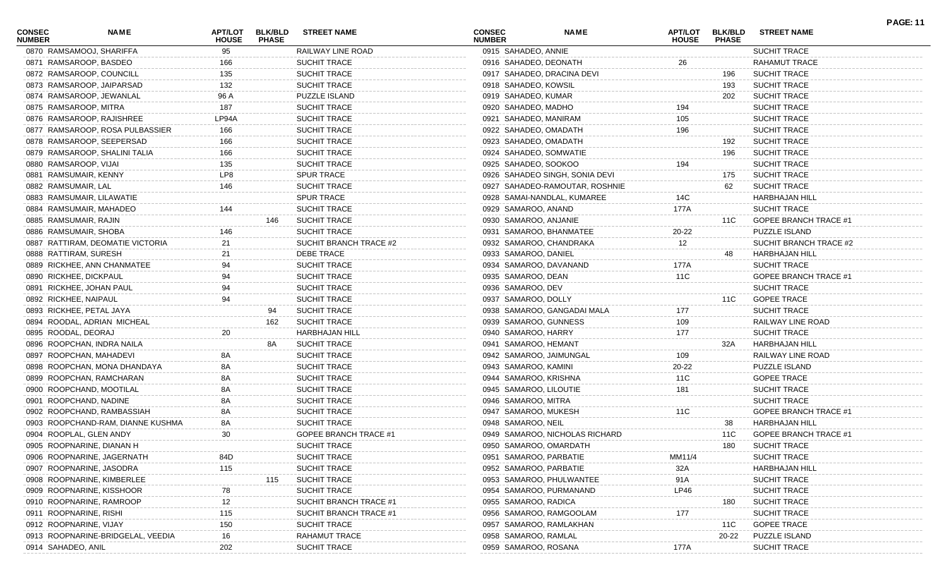| <b>CONSEC</b><br><b>NUMBER</b> | <b>NAME</b>                       | APT/LOT<br><b>HOUSE</b> | <b>BLK/BLD</b><br><b>PHASE</b> | <b>STREET NAME</b>     | <b>CONSEC</b><br><b>NUMBER</b> |                        | <b>NAME</b>                    | <b>APT/LOT</b><br><b>HOUSE</b> | <b>BLK/BLD</b><br><b>PHASE</b> | <b>STREET NAME</b>           | <b>PAGE: 11</b> |
|--------------------------------|-----------------------------------|-------------------------|--------------------------------|------------------------|--------------------------------|------------------------|--------------------------------|--------------------------------|--------------------------------|------------------------------|-----------------|
|                                | 0870 RAMSAMOOJ, SHARIFFA          | 95                      |                                | RAILWAY LINE ROAD      |                                | 0915 SAHADEO, ANNIE    |                                |                                |                                | SUCHIT TRACE                 |                 |
| 0871 RAMSAROOP, BASDEO         |                                   | 166                     |                                | SUCHIT TRACE           |                                | 0916 SAHADEO, DEONATH  |                                | 26                             |                                | RAHAMUT TRACE                |                 |
| 0872 RAMSAROOP, COUNCILL       |                                   | 135                     |                                | SUCHIT TRACE           |                                |                        | 0917 SAHADEO, DRACINA DEVI     |                                | 196                            | <b>SUCHIT TRACE</b>          |                 |
|                                | 0873 RAMSAROOP, JAIPARSAD         | 132                     |                                | SUCHIT TRACE           |                                | 0918 SAHADEO, KOWSIL   |                                |                                | 193                            | <b>SUCHIT TRACE</b>          |                 |
|                                | 0874 RAMSAROOP, JEWANLAL          | 96 A                    |                                | PUZZLE ISLAND          |                                | 0919 SAHADEO, KUMAR    |                                |                                | 202                            | <b>SUCHIT TRACE</b>          |                 |
| 0875 RAMSAROOP, MITRA          |                                   | 187                     |                                | SUCHIT TRACE           |                                | 0920 SAHADEO, MADHO    |                                | 194                            |                                | <b>SUCHIT TRACE</b>          |                 |
|                                | 0876 RAMSAROOP, RAJISHREE         | LP94A                   |                                | SUCHIT TRACE           |                                | 0921 SAHADEO, MANIRAM  |                                | 105                            |                                | <b>SUCHIT TRACE</b>          |                 |
|                                | 0877 RAMSAROOP, ROSA PULBASSIER   | 166                     |                                | SUCHIT TRACE           |                                | 0922 SAHADEO, OMADATH  |                                | 196                            |                                | <b>SUCHIT TRACE</b>          |                 |
|                                | 0878 RAMSAROOP, SEEPERSAD         | 166                     |                                | SUCHIT TRACE           |                                | 0923 SAHADEO, OMADATH  |                                |                                | 192                            | <b>SUCHIT TRACE</b>          |                 |
|                                | 0879 RAMSAROOP, SHALINI TALIA     | 166                     |                                | SUCHIT TRACE           |                                | 0924 SAHADEO, SOMWATIE |                                |                                | 196                            | <b>SUCHIT TRACE</b>          |                 |
| 0880 RAMSAROOP, VIJAI          |                                   | 135                     |                                | SUCHIT TRACE           |                                | 0925 SAHADEO, SOOKOO   |                                | 194                            |                                | SUCHIT TRACE                 |                 |
| 0881 RAMSUMAIR, KENNY          |                                   | LP8                     |                                | <b>SPUR TRACE</b>      |                                |                        | 0926 SAHADEO SINGH, SONIA DEVI |                                | 175                            | <b>SUCHIT TRACE</b>          |                 |
| 0882 RAMSUMAIR, LAL            |                                   | 146                     |                                | SUCHIT TRACE           |                                |                        | 0927 SAHADEO-RAMOUTAR, ROSHNIE |                                | 62                             | <b>SUCHIT TRACE</b>          |                 |
|                                | 0883 RAMSUMAIR, LILAWATIE         |                         |                                | <b>SPUR TRACE</b>      |                                |                        | 0928 SAMAI-NANDLAL, KUMAREE    | 14C                            |                                | <b>HARBHAJAN HILL</b>        |                 |
| 0884 RAMSUMAIR, MAHADEO        |                                   | 144                     |                                | <b>SUCHIT TRACE</b>    |                                | 0929 SAMAROO, ANAND    |                                | 177A                           |                                | SUCHIT TRACE                 |                 |
| 0885 RAMSUMAIR, RAJIN          |                                   |                         | 146                            | <b>SUCHIT TRACE</b>    |                                | 0930 SAMAROO, ANJANIE  |                                |                                | 11C                            | <b>GOPEE BRANCH TRACE #1</b> |                 |
| 0886 RAMSUMAIR, SHOBA          |                                   |                         |                                | SUCHIT TRACE           |                                |                        | 0931 SAMAROO, BHANMATEE        | 20-22                          |                                | <b>PUZZLE ISLAND</b>         |                 |
|                                | 0887 RATTIRAM, DEOMATIE VICTORIA  |                         |                                | SUCHIT BRANCH TRACE #2 |                                |                        | 0932 SAMAROO, CHANDRAKA        | 12                             |                                | SUCHIT BRANCH TRACE #2       |                 |
| 0888 RATTIRAM, SURESH          |                                   | 21                      |                                | DEBE TRACE             |                                | 0933 SAMAROO, DANIEL   |                                |                                | 48                             | <b>HARBHAJAN HILL</b>        |                 |
|                                | 0889 RICKHEE, ANN CHANMATEE       |                         |                                | SUCHIT TRACE           |                                |                        | 0934 SAMAROO, DAVANAND         | 177A                           |                                | SUCHIT TRACE                 |                 |
| 0890 RICKHEE, DICKPAUL         |                                   | 94                      |                                | SUCHIT TRACE           |                                | 0935 SAMAROO, DEAN     |                                | 11C                            |                                | <b>GOPEE BRANCH TRACE #1</b> |                 |
| 0891 RICKHEE, JOHAN PAUL       |                                   | 94                      |                                | SUCHIT TRACE           |                                | 0936 SAMAROO, DEV      |                                |                                |                                | <b>SUCHIT TRACE</b>          |                 |
| 0892 RICKHEE, NAIPAUL          |                                   | 94                      |                                | <b>SUCHIT TRACE</b>    |                                | 0937 SAMAROO, DOLLY    |                                |                                | 11C                            | <b>GOPEE TRACE</b>           |                 |
| 0893 RICKHEE, PETAL JAYA       |                                   |                         | 94                             | <b>SUCHIT TRACE</b>    |                                |                        | 0938 SAMAROO, GANGADAI MALA    | 177                            |                                | <b>SUCHIT TRACE</b>          |                 |
|                                | 0894 ROODAL, ADRIAN MICHEAL       |                         | 162                            | <b>SUCHIT TRACE</b>    |                                | 0939 SAMAROO, GUNNESS  |                                | 109                            |                                | RAILWAY LINE ROAD            |                 |
| 0895 ROODAL, DEORAJ            |                                   | 20                      |                                | <b>HARBHAJAN HILL</b>  |                                | 0940 SAMAROO, HARRY    |                                | 177                            |                                | <b>SUCHIT TRACE</b>          |                 |
|                                | 0896 ROOPCHAN, INDRA NAILA        |                         | 8A                             | <b>SUCHIT TRACE</b>    |                                | 0941 SAMAROO, HEMANT   |                                |                                | 32A                            | <b>HARBHAJAN HILL</b>        |                 |
| 0897 ROOPCHAN, MAHADEVI        |                                   | 8Α                      |                                | <b>SUCHIT TRACE</b>    |                                |                        | 0942 SAMAROO, JAIMUNGAL        | 109                            |                                | RAILWAY LINE ROAD            |                 |
|                                | 0898 ROOPCHAN, MONA DHANDAYA      | 8Α                      |                                | SUCHIT TRACE           |                                | 0943 SAMAROO, KAMINI   |                                | 20-22                          |                                | <b>PUZZLE ISLAND</b>         |                 |
|                                | 0899 ROOPCHAN, RAMCHARAN          | 8Α                      |                                | SUCHIT TRACE           |                                | 0944 SAMAROO, KRISHNA  |                                | 11C                            |                                | <b>GOPEE TRACE</b>           |                 |
|                                | 0900 ROOPCHAND, MOOTILAL          | 8Α                      |                                | SUCHIT TRACE           |                                | 0945 SAMAROO, LILOUTIE |                                | 181                            |                                | SUCHIT TRACE                 |                 |
| 0901 ROOPCHAND, NADINE         |                                   | 8Α                      |                                | SUCHIT TRACE           |                                | 0946 SAMAROO, MITRA    |                                |                                |                                | SUCHIT TRACE                 |                 |
|                                | 0902 ROOPCHAND, RAMBASSIAH        | 8Α                      |                                | <b>SUCHIT TRACE</b>    |                                | 0947 SAMAROO, MUKESH   |                                | 11C                            |                                | <b>GOPEE BRANCH TRACE #1</b> |                 |
|                                | 0903 ROOPCHAND-RAM, DIANNE KUSHMA | 8A                      |                                | SUCHIT TRACE           |                                | 0948 SAMAROO, NEIL     |                                |                                | 38                             | <b>HARBHAJAN HILL</b>        |                 |
| 0904 ROOPLAL, GLEN ANDY        |                                   | 30                      |                                | GOPEE BRANCH TRACE #1  |                                |                        | 0949 SAMAROO, NICHOLAS RICHARD |                                | 11C                            | <b>GOPEE BRANCH TRACE #1</b> |                 |
|                                | 0905 ROOPNARINE, DIANAN H         |                         |                                | SUCHIT TRACE           |                                |                        | 0950 SAMAROO, OMARDATH         |                                | 180                            | <b>SUCHIT TRACE</b>          |                 |
|                                | 0906 ROOPNARINE, JAGERNATH        | 84D                     |                                | <b>SUCHIT TRACE</b>    |                                | 0951 SAMAROO, PARBATIE |                                | MM11/4                         |                                | <b>SUCHIT TRACE</b>          |                 |
|                                | 0907 ROOPNARINE, JASODRA          | 115                     |                                | SUCHIT TRACE           |                                | 0952 SAMAROO, PARBATIE |                                |                                |                                | <b>HARBHAJAN HILL</b>        |                 |
|                                | 0908 ROOPNARINE, KIMBERLEE        |                         | 115                            | <b>SUCHIT TRACE</b>    |                                |                        | 0953 SAMAROO, PHULWANTEE       | 32A                            |                                | <b>SUCHIT TRACE</b>          |                 |
|                                |                                   |                         |                                |                        |                                |                        |                                | 91A                            |                                |                              |                 |
|                                | 0909 ROOPNARINE, KISSHOOR         |                         |                                | SUCHIT TRACE           |                                | 0955 SAMAROO, RADICA   | 0954 SAMAROO, PURMANAND        | LP46                           |                                | <b>SUCHIT TRACE</b>          |                 |
|                                | 0910 ROOPNARINE, RAMROOP          | 12                      |                                | SUCHIT BRANCH TRACE #1 |                                |                        |                                |                                | 180                            | <b>SUCHIT TRACE</b>          |                 |
| 0911 ROOPNARINE, RISHI         |                                   | 115                     |                                | SUCHIT BRANCH TRACE #1 |                                |                        | 0956 SAMAROO, RAMGOOLAM        | 177                            |                                | <b>SUCHIT TRACE</b>          |                 |
| 0912 ROOPNARINE, VIJAY         |                                   | 150                     |                                | SUCHIT TRACE           |                                |                        | 0957 SAMAROO, RAMLAKHAN        |                                | 11C                            | <b>GOPEE TRACE</b>           |                 |
|                                | 0913 ROOPNARINE-BRIDGELAL, VEEDIA | 16                      |                                | RAHAMUT TRACE          |                                | 0958 SAMAROO, RAMLAL   |                                |                                | 20-22                          | <b>PUZZLE ISLAND</b>         |                 |
| 0914 SAHADEO, ANIL             |                                   | 202                     |                                | SUCHIT TRACE           |                                | 0959 SAMAROO, ROSANA   |                                | 177A                           |                                | SUCHIT TRACE                 |                 |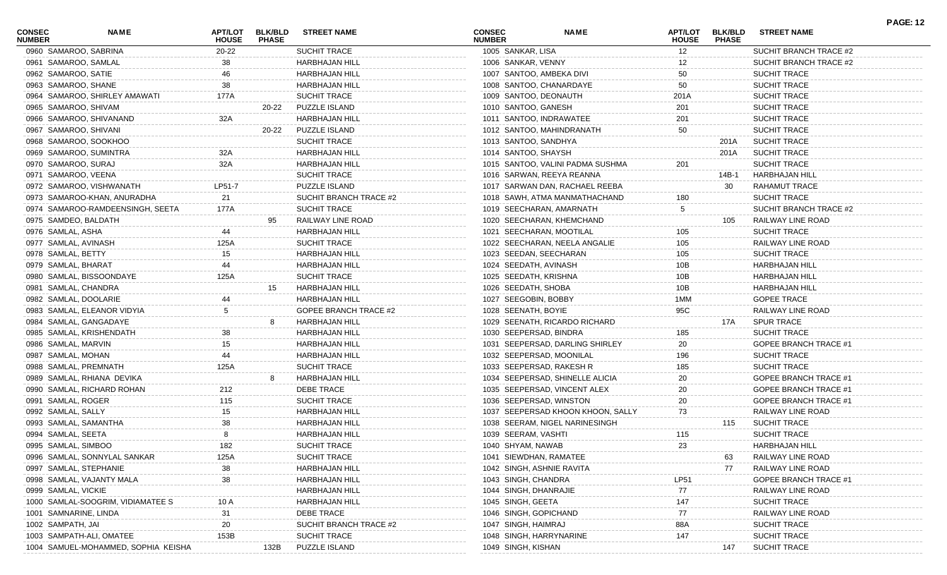| <b>CONSEC</b><br><b>NUMBER</b> | <b>NAME</b>                         | <b>HOUSE</b> | APT/LOT BLK/BLD<br><b>PHASE</b> | <b>STREET NAME</b>           | <b>CONSEC</b><br><b>NUMBER</b> | <b>NAME</b>                       | <b>HOUSE</b>   | APT/LOT BLK/BLD<br><b>PHASE</b> | <b>STREET NAME</b>           |  |
|--------------------------------|-------------------------------------|--------------|---------------------------------|------------------------------|--------------------------------|-----------------------------------|----------------|---------------------------------|------------------------------|--|
|                                | 0960 SAMAROO, SABRINA               | 20-22        |                                 | SUCHIT TRACE                 | 1005 SANKAR, LISA              |                                   | 12             |                                 | SUCHIT BRANCH TRACE #2       |  |
|                                | 0961 SAMAROO, SAMLAL                | 38           |                                 | <b>HARBHAJAN HILL</b>        | 1006 SANKAR, VENNY             |                                   | 12             |                                 | SUCHIT BRANCH TRACE #2       |  |
|                                | 0962 SAMAROO, SATIE                 |              |                                 | <b>HARBHAJAN HILL</b>        |                                | 1007 SANTOO, AMBEKA DIVI          | 50             |                                 | <b>SUCHIT TRACE</b>          |  |
|                                | 0963 SAMAROO, SHANE                 | 38           |                                 | <b>HARBHAJAN HILL</b>        |                                | 1008 SANTOO, CHANARDAYE           | 50             |                                 | <b>SUCHIT TRACE</b>          |  |
|                                | 0964 SAMAROO, SHIRLEY AMAWATI       | 177A         |                                 | <b>SUCHIT TRACE</b>          | 1009 SANTOO, DEONAUTH          |                                   | 201A           |                                 | <b>SUCHIT TRACE</b>          |  |
|                                | 0965 SAMAROO, SHIVAM                |              | 20-22                           | PUZZLE ISLAND                | 1010 SANTOO, GANESH            |                                   | 201            |                                 | SUCHIT TRACE                 |  |
|                                | 0966 SAMAROO, SHIVANAND             | 32A          |                                 | <b>HARBHAJAN HILL</b>        |                                | 1011 SANTOO, INDRAWATEE           | 201            |                                 | SUCHIT TRACE                 |  |
|                                | 0967 SAMAROO, SHIVANI               |              | 20-22                           | PUZZLE ISLAND                |                                | 1012 SANTOO, MAHINDRANATH         | 50             |                                 | SUCHIT TRACE                 |  |
|                                | 0968 SAMAROO, SOOKHOO               |              |                                 | <b>SUCHIT TRACE</b>          | 1013 SANTOO, SANDHYA           |                                   |                | 201A                            | <b>SUCHIT TRACE</b>          |  |
|                                | 0969 SAMAROO, SUMINTRA              | 32A          |                                 | <b>HARBHAJAN HILL</b>        | 1014 SANTOO, SHAYSH            |                                   |                | 201A                            | SUCHIT TRACE                 |  |
|                                | 0970 SAMAROO, SURAJ                 | 32A          |                                 | <b>HARBHAJAN HILL</b>        |                                | 1015 SANTOO, VALINI PADMA SUSHMA  | 201            |                                 | <b>SUCHIT TRACE</b>          |  |
|                                | 0971 SAMAROO, VEENA                 |              |                                 | <b>SUCHIT TRACE</b>          |                                | 1016 SARWAN, REEYA REANNA         |                | 14B-1                           | <b>HARBHAJAN HILL</b>        |  |
|                                | 0972 SAMAROO, VISHWANATH            | LP51-7       |                                 | <b>PUZZLE ISLAND</b>         |                                | 1017 SARWAN DAN, RACHAEL REEBA    |                | 30                              | <b>RAHAMUT TRACE</b>         |  |
|                                | 0973 SAMAROO-KHAN, ANURADHA         | 21           |                                 | SUCHIT BRANCH TRACE #2       |                                | 1018 SAWH, ATMA MANMATHACHAND     | 180            |                                 | <b>SUCHIT TRACE</b>          |  |
|                                | 0974 SAMAROO-RAMDEENSINGH, SEETA    | 177A         |                                 | <b>SUCHIT TRACE</b>          |                                | 1019 SEECHARAN, AMARNATH          | $\overline{5}$ |                                 | SUCHIT BRANCH TRACE #2       |  |
|                                | 0975 SAMDEO, BALDATH                |              |                                 | RAILWAY LINE ROAD            |                                | 1020 SEECHARAN, KHEMCHAND         |                | 105                             | RAILWAY LINE ROAD            |  |
| 0976 SAMLAL, ASHA              |                                     | 44           |                                 | <b>HARBHAJAN HILL</b>        |                                | 1021 SEECHARAN, MOOTILAL          | 105            |                                 | <b>SUCHIT TRACE</b>          |  |
|                                | 0977 SAMLAL, AVINASH                | 125A         |                                 | <b>SUCHIT TRACE</b>          |                                | 1022 SEECHARAN, NEELA ANGALIE     | 105            |                                 | RAILWAY LINE ROAD            |  |
| 0978 SAMLAL, BETTY             |                                     |              |                                 | <b>HARBHAJAN HILL</b>        |                                | 1023 SEEDAN, SEECHARAN            | 105            |                                 | <b>SUCHIT TRACE</b>          |  |
| 0979 SAMLAL, BHARAT            |                                     |              |                                 | <b>HARBHAJAN HILL</b>        | 1024 SEEDATH, AVINASH          |                                   | 10B            |                                 | <b>HARBHAJAN HILL</b>        |  |
|                                | 0980 SAMLAL, BISSOONDAYE            | 125A         |                                 | <b>SUCHIT TRACE</b>          | 1025 SEEDATH, KRISHNA          |                                   | 10B            |                                 | <b>HARBHAJAN HILL</b>        |  |
|                                | 0981 SAMLAL, CHANDRA                |              | 15                              | HARBHAJAN HILL               | 1026 SEEDATH, SHOBA            |                                   | 10B            |                                 | <b>HARBHAJAN HILL</b>        |  |
|                                | 0982 SAMLAL, DOOLARIE               |              |                                 | <b>HARBHAJAN HILL</b>        | 1027 SEEGOBIN, BOBBY           |                                   | 1MM            |                                 | <b>GOPEE TRACE</b>           |  |
|                                | 0983 SAMLAL, ELEANOR VIDYIA         |              |                                 | <b>GOPEE BRANCH TRACE #2</b> | 1028 SEENATH, BOYIE            |                                   | 95C            |                                 | RAILWAY LINE ROAD            |  |
|                                | 0984 SAMLAL, GANGADAYE              |              |                                 | <b>HARBHAJAN HILL</b>        |                                | 1029 SEENATH, RICARDO RICHARD     |                | 17A                             | <b>SPUR TRACE</b>            |  |
|                                | 0985 SAMLAL, KRISHENDATH            | 38           |                                 | <b>HARBHAJAN HILL</b>        | 1030 SEEPERSAD, BINDRA         |                                   | 185            |                                 | <b>SUCHIT TRACE</b>          |  |
| 0986 SAMLAL, MARVIN            |                                     | 15           |                                 | <b>HARBHAJAN HILL</b>        |                                | 1031 SEEPERSAD, DARLING SHIRLEY   | 20             |                                 | <b>GOPEE BRANCH TRACE #1</b> |  |
| 0987 SAMLAL, MOHAN             |                                     |              |                                 | <b>HARBHAJAN HILL</b>        |                                | 1032 SEEPERSAD, MOONILAL          | 196            |                                 | <b>SUCHIT TRACE</b>          |  |
|                                | 0988 SAMLAL, PREMNATH               | 125A         |                                 | <b>SUCHIT TRACE</b>          |                                | 1033 SEEPERSAD, RAKESH R          | 185            |                                 | SUCHIT TRACE                 |  |
|                                | 0989 SAMLAL, RHIANA DEVIKA          |              |                                 | <b>HARBHAJAN HILL</b>        |                                | 1034 SEEPERSAD, SHINELLE ALICIA   | 20             |                                 | GOPEE BRANCH TRACE #1        |  |
|                                | 0990 SAMLAL, RICHARD ROHAN          | 212          |                                 | <b>DEBE TRACE</b>            |                                | 1035 SEEPERSAD, VINCENT ALEX      | 20             |                                 | GOPEE BRANCH TRACE #1        |  |
| 0991 SAMLAL, ROGER             |                                     | 115          |                                 | <b>SUCHIT TRACE</b>          |                                | 1036 SEEPERSAD, WINSTON           | 20             |                                 | GOPEE BRANCH TRACE #1        |  |
| 0992 SAMLAL, SALLY             |                                     |              |                                 | <b>HARBHAJAN HILL</b>        |                                | 1037 SEEPERSAD KHOON KHOON, SALLY | 73             |                                 | RAILWAY LINE ROAD            |  |
|                                | 0993 SAMLAL, SAMANTHA               |              |                                 | HARBHAJAN HILL               |                                | 1038 SEERAM, NIGEL NARINESINGH    |                | 115                             | <b>SUCHIT TRACE</b>          |  |
| 0994 SAMLAL, SEETA             |                                     |              |                                 | <b>HARBHAJAN HILL</b>        | 1039 SEERAM, VASHTI            |                                   | 115            |                                 | <b>SUCHIT TRACE</b>          |  |
|                                | 0995 SAMLAL, SIMBOO                 | 182          |                                 | SUCHIT TRACE                 | 1040 SHYAM, NAWAB              |                                   | 23             |                                 | HARBHAJAN HILL               |  |
|                                | 0996 SAMLAL, SONNYLAL SANKAR        | 125A         |                                 | SUCHIT TRACE                 | 1041 SIEWDHAN, RAMATEE         |                                   |                |                                 | RAILWAY LINE ROAD            |  |
|                                | 0997 SAMLAL, STEPHANIE              |              |                                 | HARBHAJAN HILL               |                                | 1042 SINGH, ASHNIE RAVITA         |                | 77                              | RAILWAY LINE ROAD            |  |
|                                | 0998 SAMLAL, VAJANTY MALA           | 38           |                                 | <b>HARBHAJAN HILL</b>        | 1043 SINGH, CHANDRA            |                                   | <b>LP51</b>    |                                 | GOPEE BRANCH TRACE #1        |  |
| 0999 SAMLAL, VICKIE            |                                     |              |                                 | <b>HARBHAJAN HILL</b>        | 1044 SINGH, DHANRAJIE          |                                   | 77             |                                 | RAILWAY LINE ROAD            |  |
|                                | 1000 SAMLAL-SOOGRIM, VIDIAMATEE S   |              |                                 | <b>HARBHAJAN HILL</b>        | 1045 SINGH, GEETA              |                                   | 147            |                                 | SUCHIT TRACE                 |  |
|                                | 1001 SAMNARINE, LINDA               |              |                                 | DEBE TRACE                   | 1046 SINGH, GOPICHAND          |                                   | 77             |                                 | RAILWAY LINE ROAD            |  |
| 1002 SAMPATH, JAI              |                                     | 20           |                                 | SUCHIT BRANCH TRACE #2       | 1047 SINGH, HAIMRAJ            |                                   | 88A            |                                 | SUCHIT TRACE                 |  |
|                                | 1003 SAMPATH-ALI, OMATEE            | 153B         |                                 | <b>SUCHIT TRACE</b>          |                                | 1048 SINGH, HARRYNARINE           | 147            |                                 | <b>SUCHIT TRACE</b>          |  |
|                                | 1004 SAMUEL-MOHAMMED, SOPHIA KEISHA |              | 132B                            | PUZZLE ISLAND                | 1049 SINGH, KISHAN             |                                   |                | 147                             | <b>SUCHIT TRACE</b>          |  |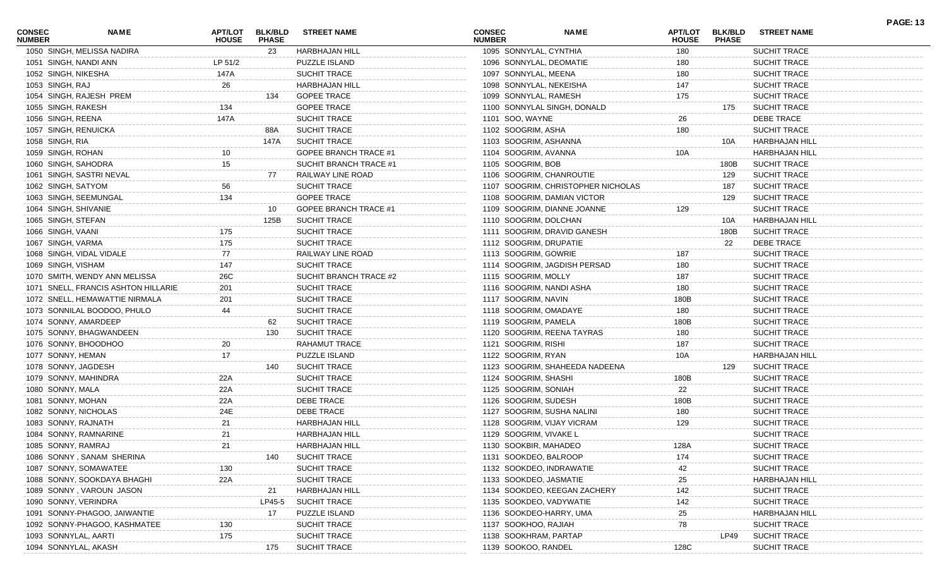| <b>CONSEC</b><br><b>NUMBER</b> | NAME                                | <b>APT/LOT</b><br><b>HOUSE</b> | <b>BLK/BLD</b><br><b>PHASE</b> | <b>STREET NAME</b>           | <b>CONSEC</b><br><b>NUMBER</b> | <b>NAME</b>                        | APT/LOT<br><b>HOUSE</b> | <b>BLK/BLD</b><br><b>PHASE</b> | <b>STREET NAME</b>    | <b>PAGE: 13</b> |
|--------------------------------|-------------------------------------|--------------------------------|--------------------------------|------------------------------|--------------------------------|------------------------------------|-------------------------|--------------------------------|-----------------------|-----------------|
|                                | 1050 SINGH, MELISSA NADIRA          |                                | 23                             | <b>HARBHAJAN HILL</b>        | 1095 SONNYLAL, CYNTHIA         |                                    | 180                     |                                | <b>SUCHIT TRACE</b>   |                 |
| 1051 SINGH, NANDI ANN          |                                     | LP 51/2                        |                                | PUZZLE ISLAND                |                                | 1096 SONNYLAL, DEOMATIE            | 180                     |                                | SUCHIT TRACE          |                 |
| 1052 SINGH, NIKESHA            |                                     | 147A                           |                                | <b>SUCHIT TRACE</b>          | 1097 SONNYLAL, MEENA           |                                    | 180                     |                                | <b>SUCHIT TRACE</b>   |                 |
| 1053 SINGH, RAJ                |                                     | 26                             |                                | <b>HARBHAJAN HILL</b>        | 1098 SONNYLAL, NEKEISHA        |                                    | 147                     |                                | <b>SUCHIT TRACE</b>   |                 |
|                                | 1054 SINGH, RAJESH PREM             |                                | 134                            | <b>GOPEE TRACE</b>           | 1099 SONNYLAL, RAMESH          |                                    | 175                     |                                | <b>SUCHIT TRACE</b>   |                 |
| 1055 SINGH, RAKESH             |                                     | 134                            |                                | <b>GOPEE TRACE</b>           |                                | 1100 SONNYLAL SINGH, DONALD        |                         | 175                            | <b>SUCHIT TRACE</b>   |                 |
| 1056 SINGH, REENA              |                                     | 147A                           |                                | SUCHIT TRACE                 | 1101 SOO, WAYNE                |                                    | 26                      |                                | <b>DEBE TRACE</b>     |                 |
| 1057 SINGH, RENUICKA           |                                     |                                | 88A                            | <b>SUCHIT TRACE</b>          | 1102 SOOGRIM, ASHA             |                                    | 180                     |                                | <b>SUCHIT TRACE</b>   |                 |
| 1058 SINGH, RIA                |                                     |                                | 147A                           | <b>SUCHIT TRACE</b>          | 1103 SOOGRIM, ASHANNA          |                                    |                         | 10A                            | HARBHAJAN HILL        |                 |
| 1059 SINGH, ROHAN              |                                     |                                |                                | GOPEE BRANCH TRACE #1        | 1104 SOOGRIM, AVANNA           |                                    | 10A                     |                                | HARBHAJAN HILL        |                 |
| 1060 SINGH, SAHODRA            |                                     | 15                             |                                | SUCHIT BRANCH TRACE #1       | 1105 SOOGRIM, BOB              |                                    |                         | 180B                           | <b>SUCHIT TRACE</b>   |                 |
|                                | 1061 SINGH, SASTRI NEVAL            |                                | 77                             | RAILWAY LINE ROAD            |                                | 1106 SOOGRIM, CHANROUTIE           |                         | 129                            | <b>SUCHIT TRACE</b>   |                 |
| 1062 SINGH, SATYOM             |                                     | 56                             |                                | SUCHIT TRACE                 |                                | 1107 SOOGRIM, CHRISTOPHER NICHOLAS |                         | 187                            | <b>SUCHIT TRACE</b>   |                 |
|                                | 1063 SINGH, SEEMUNGAL               | 134                            |                                | <b>GOPEE TRACE</b>           |                                | 1108 SOOGRIM, DAMIAN VICTOR        |                         | 129                            | <b>SUCHIT TRACE</b>   |                 |
| 1064 SINGH, SHIVANIE           |                                     |                                | 10                             | <b>GOPEE BRANCH TRACE #1</b> |                                | 1109 SOOGRIM, DIANNE JOANNE        | 129                     |                                | SUCHIT TRACE          |                 |
| 1065 SINGH, STEFAN             |                                     |                                | 125B                           | <b>SUCHIT TRACE</b>          | 1110 SOOGRIM, DOLCHAN          |                                    |                         | 10A                            | HARBHAJAN HILL        |                 |
| 1066 SINGH, VAANI              |                                     | 175                            |                                | SUCHIT TRACE                 |                                | 1111 SOOGRIM, DRAVID GANESH        |                         | 180B                           | <b>SUCHIT TRACE</b>   |                 |
| 1067 SINGH, VARMA              |                                     | 175                            |                                | SUCHIT TRACE                 | 1112 SOOGRIM, DRUPATIE         |                                    |                         | 22                             | <b>DEBE TRACE</b>     |                 |
|                                | 1068 SINGH, VIDAL VIDALE            | 77                             |                                | RAILWAY LINE ROAD            | 1113 SOOGRIM, GOWRIE           |                                    | 187                     |                                | SUCHIT TRACE          |                 |
| 1069 SINGH, VISHAM             |                                     | 147                            |                                | SUCHIT TRACE                 |                                | 1114 SOOGRIM, JAGDISH PERSAD       | 180                     |                                | SUCHIT TRACE          |                 |
|                                | 1070 SMITH, WENDY ANN MELISSA       | 26C                            |                                | SUCHIT BRANCH TRACE #2       | 1115 SOOGRIM, MOLLY            |                                    | 187                     |                                | <b>SUCHIT TRACE</b>   |                 |
|                                | 1071 SNELL, FRANCIS ASHTON HILLARIE | 201                            |                                | SUCHIT TRACE                 |                                | 1116 SOOGRIM, NANDI ASHA           | 180                     |                                | <b>SUCHIT TRACE</b>   |                 |
|                                | 1072 SNELL, HEMAWATTIE NIRMALA      | 201                            |                                | SUCHIT TRACE                 | 1117 SOOGRIM, NAVIN            |                                    | 180B                    |                                | <b>SUCHIT TRACE</b>   |                 |
|                                | 1073 SONNILAL BOODOO, PHULO         | 44                             |                                | SUCHIT TRACE                 | 1118 SOOGRIM, OMADAYE          |                                    | 180                     |                                | <b>SUCHIT TRACE</b>   |                 |
|                                |                                     |                                |                                |                              |                                |                                    | 180B                    |                                |                       |                 |
|                                | 1074 SONNY, AMARDEEP                |                                | 62                             | <b>SUCHIT TRACE</b>          | 1119 SOOGRIM, PAMELA           |                                    |                         |                                | <b>SUCHIT TRACE</b>   |                 |
|                                | 1075 SONNY, BHAGWANDEEN             |                                | 130                            | <b>SUCHIT TRACE</b>          |                                | 1120 SOOGRIM, REENA TAYRAS         | 180                     |                                | <b>SUCHIT TRACE</b>   |                 |
|                                | 1076 SONNY, BHOODHOO                | 20                             |                                | RAHAMUT TRACE                | 1121 SOOGRIM, RISHI            |                                    | 187                     |                                | <b>SUCHIT TRACE</b>   |                 |
| 1077 SONNY, HEMAN              |                                     | 17                             |                                | PUZZLE ISLAND                | 1122 SOOGRIM, RYAN             |                                    | 10A                     |                                | HARBHAJAN HILL        |                 |
| 1078 SONNY, JAGDESH            |                                     |                                | 140                            | <b>SUCHIT TRACE</b>          |                                | 1123 SOOGRIM, SHAHEEDA NADEENA     |                         | 129                            | <b>SUCHIT TRACE</b>   |                 |
|                                | 1079 SONNY, MAHINDRA                | 22A                            |                                | SUCHIT TRACE                 | 1124 SOOGRIM, SHASHI           |                                    | 180B                    |                                | SUCHIT TRACE          |                 |
| 1080 SONNY, MALA               |                                     | 22A                            |                                | SUCHIT TRACE                 | 1125 SOOGRIM, SONIAH           |                                    | 22                      |                                | <b>SUCHIT TRACE</b>   |                 |
| 1081 SONNY, MOHAN              |                                     | 22A                            |                                | DEBE TRACE                   | 1126 SOOGRIM, SUDESH           |                                    | 180B                    |                                | <b>SUCHIT TRACE</b>   |                 |
| 1082 SONNY, NICHOLAS           |                                     | 24E                            |                                | DEBE TRACE                   |                                | 1127 SOOGRIM, SUSHA NALINI         | 180                     |                                | <b>SUCHIT TRACE</b>   |                 |
| 1083 SONNY, RAJNATH            |                                     | 21                             |                                | HARBHAJAN HILL               |                                | 1128 SOOGRIM, VIJAY VICRAM         | 129                     |                                | <b>SUCHIT TRACE</b>   |                 |
|                                | 1084 SONNY, RAMNARINE               | 21                             |                                | HARBHAJAN HILL               | 1129 SOOGRIM, VIVAKE L         |                                    |                         |                                | <b>SUCHIT TRACE</b>   |                 |
| 1085 SONNY, RAMRAJ             |                                     | 21                             |                                | HARBHAJAN HILL               | 1130 SOOKBIR, MAHADEO          |                                    | 128A                    |                                | SUCHIT TRACE          |                 |
|                                | 1086 SONNY, SANAM SHERINA           |                                | 140                            | <b>SUCHIT TRACE</b>          | 1131 SOOKDEO, BALROOP          |                                    | 174                     |                                | <b>SUCHIT TRACE</b>   |                 |
|                                | 1087 SONNY, SOMAWATEE               | 130                            |                                | SUCHIT TRACE                 |                                | 1132 SOOKDEO, INDRAWATIE           | 42                      |                                | <b>SUCHIT TRACE</b>   |                 |
|                                | 1088 SONNY, SOOKDAYA BHAGHI         | 22A                            |                                | SUCHIT TRACE                 | 1133 SOOKDEO, JASMATIE         |                                    | 25                      |                                | <b>HARBHAJAN HILI</b> |                 |
|                                | 1089 SONNY, VAROUN JASON            |                                | 21                             | HARBHAJAN HILL               |                                | 1134 SOOKDEO, KEEGAN ZACHERY       | 142                     |                                | SUCHIT TRACE          |                 |
| 1090 SONNY, VERINDRA           |                                     |                                | LP45-5                         | <b>SUCHIT TRACE</b>          |                                | 1135 SOOKDEO, VADYWATIE            | 142                     |                                | SUCHIT TRACE          |                 |
|                                | 1091 SONNY-PHAGOO, JAIWANTIE        |                                | 17                             | PUZZLE ISLAND                |                                | 1136 SOOKDEO-HARRY, UMA            | 25                      |                                | HARBHAJAN HILL        |                 |
|                                | 1092 SONNY-PHAGOO, KASHMATEE        | 130                            |                                | SUCHIT TRACE                 | 1137 SOOKHOO, RAJIAH           |                                    | 78                      |                                | <b>SUCHIT TRACE</b>   |                 |
| 1093 SONNYLAL, AARTI           |                                     | 175                            |                                | SUCHIT TRACE                 | 1138 SOOKHRAM, PARTAP          |                                    |                         | LP49                           | <b>SUCHIT TRACE</b>   |                 |
| 1094 SONNYLAL, AKASH           |                                     |                                | 175                            | <b>SUCHIT TRACE</b>          | 1139 SOOKOO, RANDEL            |                                    | 128C                    |                                | SUCHIT TRACE          |                 |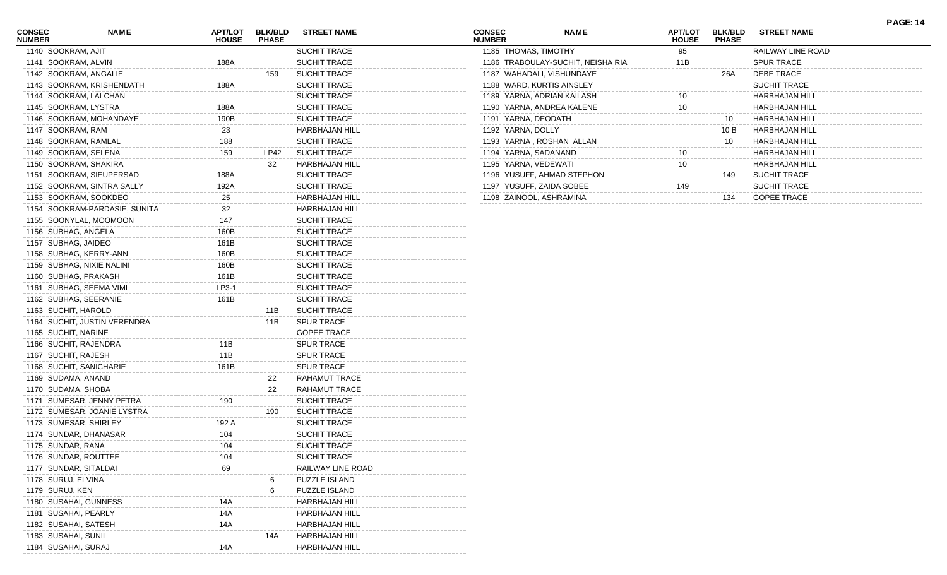| SUCHIT TRACE<br>1140 SOOKRAM, AJIT<br>1185 THOMAS, TIMOTHY<br>95<br>RAILWAY LINE ROAD<br><b>SPUR TRACE</b><br>1141 SOOKRAM, ALVIN<br><b>SUCHIT TRACE</b><br>1186 TRABOULAY-SUCHIT, NEISHA RIA<br>188A<br>11B<br><b>DEBE TRACE</b><br>1142 SOOKRAM, ANGALIE<br><b>SUCHIT TRACE</b><br>1187 WAHADALI, VISHUNDAYE<br>26A<br>159<br>1143 SOOKRAM, KRISHENDATH<br>188A<br><b>SUCHIT TRACE</b><br>1188 WARD, KURTIS AINSLEY<br><b>SUCHIT TRACE</b><br>1144 SOOKRAM, LALCHAN<br><b>SUCHIT TRACE</b><br>1189 YARNA, ADRIAN KAILASH<br>HARBHAJAN HILI<br>1145 SOOKRAM, LYSTRA<br>188A<br><b>SUCHIT TRACE</b><br>1190 YARNA, ANDREA KALENE<br><b>HARBHAJAN HILL</b><br>10<br>190B<br>1146 SOOKRAM, MOHANDAYE<br><b>SUCHIT TRACE</b><br>1191 YARNA, DEODATH<br><b>HARBHAJAN HILL</b><br>10<br>1147 SOOKRAM, RAM<br>23<br><b>HARBHAJAN HILL</b><br>1192 YARNA, DOLLY<br>HARBHAJAN HILL<br>10 B<br>1148 SOOKRAM, RAMLAL<br>188<br><b>SUCHIT TRACE</b><br>1193 YARNA, ROSHAN ALLAN<br><b>HARBHAJAN HILL</b><br>10<br><b>SUCHIT TRACE</b><br>1149 SOOKRAM, SELENA<br>159<br>LP42<br>1194 YARNA, SADANAND<br><b>HARBHAJAN HILL</b><br>1150 SOOKRAM, SHAKIRA<br>32<br>HARBHAJAN HILL<br>1195 YARNA, VEDEWATI<br>10<br><b>HARBHAJAN HILL</b><br>1151 SOOKRAM, SIEUPERSAD<br><b>SUCHIT TRACE</b><br>1196 YUSUFF, AHMAD STEPHON<br><b>SUCHIT TRACE</b><br>188A<br>149<br>1152 SOOKRAM, SINTRA SALLY<br>192A<br><b>SUCHIT TRACE</b><br>1197 YUSUFF, ZAIDA SOBEE<br><b>SUCHIT TRACE</b><br>149<br>1153 SOOKRAM, SOOKDEO<br>25<br><b>HARBHAJAN HILL</b><br>1198 ZAINOOL, ASHRAMINA<br><b>GOPEE TRACE</b><br>134<br>1154 SOOKRAM-PARDASIE, SUNITA<br>32<br><b>HARBHAJAN HILL</b><br>147<br>1155 SOONYLAL, MOOMOON<br><b>SUCHIT TRACE</b><br>1156 SUBHAG, ANGELA<br>160B<br><b>SUCHIT TRACE</b><br>1157 SUBHAG, JAIDEO<br>161B<br><b>SUCHIT TRACE</b><br>1158 SUBHAG, KERRY-ANN<br>160B<br><b>SUCHIT TRACE</b><br>1159 SUBHAG, NIXIE NALINI<br>160B<br><b>SUCHIT TRACE</b><br>1160 SUBHAG, PRAKASH<br>161B<br><b>SUCHIT TRACE</b><br>1161 SUBHAG, SEEMA VIMI<br>LP3-1<br><b>SUCHIT TRACE</b><br>1162 SUBHAG, SEERANIE<br>161B<br><b>SUCHIT TRACE</b><br>1163 SUCHIT, HAROLD<br><b>SUCHIT TRACE</b><br>11B<br>1164 SUCHIT, JUSTIN VERENDRA<br><b>SPUR TRACE</b><br>11B<br>1165 SUCHIT, NARINE<br><b>GOPEE TRACE</b><br>1166 SUCHIT, RAJENDRA<br>11B<br><b>SPUR TRACE</b><br>11B<br>1167 SUCHIT, RAJESH<br><b>SPUR TRACE</b><br>161B<br>1168 SUCHIT, SANICHARIE<br><b>SPUR TRACE</b><br>1169 SUDAMA, ANAND<br>RAHAMUT TRACE<br>22<br>1170 SUDAMA, SHOBA<br>RAHAMUT TRACE<br>22<br>1171 SUMESAR, JENNY PETRA<br>190<br><b>SUCHIT TRACE</b><br>1172 SUMESAR, JOANIE LYSTRA<br><b>SUCHIT TRACE</b><br>190<br>1173 SUMESAR, SHIRLEY<br>192 A<br><b>SUCHIT TRACE</b><br>1174 SUNDAR, DHANASAR<br><b>SUCHIT TRACE</b><br>104<br>1175 SUNDAR, RANA<br>SUCHIT TRACE<br>104<br>1176 SUNDAR, ROUTTEE<br>104<br><b>SUCHIT TRACE</b><br>1177 SUNDAR, SITALDAI<br>RAILWAY LINE ROAD<br>69<br>1178 SURUJ, ELVINA<br>PUZZLE ISLAND<br>1179 SURUJ, KEN<br>PUZZLE ISLAND<br>1180 SUSAHAI, GUNNESS<br>HARBHAJAN HILL<br>14A<br>1181 SUSAHAI, PEARLY<br>HARBHAJAN HILL<br>14A<br>1182 SUSAHAI, SATESH<br>14A<br><b>HARBHAJAN HILL</b><br>1183 SUSAHAI, SUNIL<br>HARBHAJAN HILL<br>14A<br>1184 SUSAHAI, SURAJ<br>HARBHAJAN HILL<br>14A | <b>CONSEC</b><br><b>NUMBER</b> | <b>NAME</b> | <b>APT/LOT</b><br><b>HOUSE</b> | <b>BLK/BLD</b><br><b>PHASE</b> | <b>STREET NAME</b> | <b>CONSEC</b><br><b>NUMBER</b> | <b>NAME</b> | <b>APT/LOT</b><br><b>HOUSE</b> | <b>BLK/BLD</b><br><b>PHASE</b> | <b>STREET NAME</b> |  |
|-----------------------------------------------------------------------------------------------------------------------------------------------------------------------------------------------------------------------------------------------------------------------------------------------------------------------------------------------------------------------------------------------------------------------------------------------------------------------------------------------------------------------------------------------------------------------------------------------------------------------------------------------------------------------------------------------------------------------------------------------------------------------------------------------------------------------------------------------------------------------------------------------------------------------------------------------------------------------------------------------------------------------------------------------------------------------------------------------------------------------------------------------------------------------------------------------------------------------------------------------------------------------------------------------------------------------------------------------------------------------------------------------------------------------------------------------------------------------------------------------------------------------------------------------------------------------------------------------------------------------------------------------------------------------------------------------------------------------------------------------------------------------------------------------------------------------------------------------------------------------------------------------------------------------------------------------------------------------------------------------------------------------------------------------------------------------------------------------------------------------------------------------------------------------------------------------------------------------------------------------------------------------------------------------------------------------------------------------------------------------------------------------------------------------------------------------------------------------------------------------------------------------------------------------------------------------------------------------------------------------------------------------------------------------------------------------------------------------------------------------------------------------------------------------------------------------------------------------------------------------------------------------------------------------------------------------------------------------------------------------------------------------------------------------------------------------------------------------------------------------------------------------------------------------------------------------------------------------------------------------------------------------------------------|--------------------------------|-------------|--------------------------------|--------------------------------|--------------------|--------------------------------|-------------|--------------------------------|--------------------------------|--------------------|--|
|                                                                                                                                                                                                                                                                                                                                                                                                                                                                                                                                                                                                                                                                                                                                                                                                                                                                                                                                                                                                                                                                                                                                                                                                                                                                                                                                                                                                                                                                                                                                                                                                                                                                                                                                                                                                                                                                                                                                                                                                                                                                                                                                                                                                                                                                                                                                                                                                                                                                                                                                                                                                                                                                                                                                                                                                                                                                                                                                                                                                                                                                                                                                                                                                                                                                                         |                                |             |                                |                                |                    |                                |             |                                |                                |                    |  |
|                                                                                                                                                                                                                                                                                                                                                                                                                                                                                                                                                                                                                                                                                                                                                                                                                                                                                                                                                                                                                                                                                                                                                                                                                                                                                                                                                                                                                                                                                                                                                                                                                                                                                                                                                                                                                                                                                                                                                                                                                                                                                                                                                                                                                                                                                                                                                                                                                                                                                                                                                                                                                                                                                                                                                                                                                                                                                                                                                                                                                                                                                                                                                                                                                                                                                         |                                |             |                                |                                |                    |                                |             |                                |                                |                    |  |
|                                                                                                                                                                                                                                                                                                                                                                                                                                                                                                                                                                                                                                                                                                                                                                                                                                                                                                                                                                                                                                                                                                                                                                                                                                                                                                                                                                                                                                                                                                                                                                                                                                                                                                                                                                                                                                                                                                                                                                                                                                                                                                                                                                                                                                                                                                                                                                                                                                                                                                                                                                                                                                                                                                                                                                                                                                                                                                                                                                                                                                                                                                                                                                                                                                                                                         |                                |             |                                |                                |                    |                                |             |                                |                                |                    |  |
|                                                                                                                                                                                                                                                                                                                                                                                                                                                                                                                                                                                                                                                                                                                                                                                                                                                                                                                                                                                                                                                                                                                                                                                                                                                                                                                                                                                                                                                                                                                                                                                                                                                                                                                                                                                                                                                                                                                                                                                                                                                                                                                                                                                                                                                                                                                                                                                                                                                                                                                                                                                                                                                                                                                                                                                                                                                                                                                                                                                                                                                                                                                                                                                                                                                                                         |                                |             |                                |                                |                    |                                |             |                                |                                |                    |  |
|                                                                                                                                                                                                                                                                                                                                                                                                                                                                                                                                                                                                                                                                                                                                                                                                                                                                                                                                                                                                                                                                                                                                                                                                                                                                                                                                                                                                                                                                                                                                                                                                                                                                                                                                                                                                                                                                                                                                                                                                                                                                                                                                                                                                                                                                                                                                                                                                                                                                                                                                                                                                                                                                                                                                                                                                                                                                                                                                                                                                                                                                                                                                                                                                                                                                                         |                                |             |                                |                                |                    |                                |             |                                |                                |                    |  |
|                                                                                                                                                                                                                                                                                                                                                                                                                                                                                                                                                                                                                                                                                                                                                                                                                                                                                                                                                                                                                                                                                                                                                                                                                                                                                                                                                                                                                                                                                                                                                                                                                                                                                                                                                                                                                                                                                                                                                                                                                                                                                                                                                                                                                                                                                                                                                                                                                                                                                                                                                                                                                                                                                                                                                                                                                                                                                                                                                                                                                                                                                                                                                                                                                                                                                         |                                |             |                                |                                |                    |                                |             |                                |                                |                    |  |
|                                                                                                                                                                                                                                                                                                                                                                                                                                                                                                                                                                                                                                                                                                                                                                                                                                                                                                                                                                                                                                                                                                                                                                                                                                                                                                                                                                                                                                                                                                                                                                                                                                                                                                                                                                                                                                                                                                                                                                                                                                                                                                                                                                                                                                                                                                                                                                                                                                                                                                                                                                                                                                                                                                                                                                                                                                                                                                                                                                                                                                                                                                                                                                                                                                                                                         |                                |             |                                |                                |                    |                                |             |                                |                                |                    |  |
|                                                                                                                                                                                                                                                                                                                                                                                                                                                                                                                                                                                                                                                                                                                                                                                                                                                                                                                                                                                                                                                                                                                                                                                                                                                                                                                                                                                                                                                                                                                                                                                                                                                                                                                                                                                                                                                                                                                                                                                                                                                                                                                                                                                                                                                                                                                                                                                                                                                                                                                                                                                                                                                                                                                                                                                                                                                                                                                                                                                                                                                                                                                                                                                                                                                                                         |                                |             |                                |                                |                    |                                |             |                                |                                |                    |  |
|                                                                                                                                                                                                                                                                                                                                                                                                                                                                                                                                                                                                                                                                                                                                                                                                                                                                                                                                                                                                                                                                                                                                                                                                                                                                                                                                                                                                                                                                                                                                                                                                                                                                                                                                                                                                                                                                                                                                                                                                                                                                                                                                                                                                                                                                                                                                                                                                                                                                                                                                                                                                                                                                                                                                                                                                                                                                                                                                                                                                                                                                                                                                                                                                                                                                                         |                                |             |                                |                                |                    |                                |             |                                |                                |                    |  |
|                                                                                                                                                                                                                                                                                                                                                                                                                                                                                                                                                                                                                                                                                                                                                                                                                                                                                                                                                                                                                                                                                                                                                                                                                                                                                                                                                                                                                                                                                                                                                                                                                                                                                                                                                                                                                                                                                                                                                                                                                                                                                                                                                                                                                                                                                                                                                                                                                                                                                                                                                                                                                                                                                                                                                                                                                                                                                                                                                                                                                                                                                                                                                                                                                                                                                         |                                |             |                                |                                |                    |                                |             |                                |                                |                    |  |
|                                                                                                                                                                                                                                                                                                                                                                                                                                                                                                                                                                                                                                                                                                                                                                                                                                                                                                                                                                                                                                                                                                                                                                                                                                                                                                                                                                                                                                                                                                                                                                                                                                                                                                                                                                                                                                                                                                                                                                                                                                                                                                                                                                                                                                                                                                                                                                                                                                                                                                                                                                                                                                                                                                                                                                                                                                                                                                                                                                                                                                                                                                                                                                                                                                                                                         |                                |             |                                |                                |                    |                                |             |                                |                                |                    |  |
|                                                                                                                                                                                                                                                                                                                                                                                                                                                                                                                                                                                                                                                                                                                                                                                                                                                                                                                                                                                                                                                                                                                                                                                                                                                                                                                                                                                                                                                                                                                                                                                                                                                                                                                                                                                                                                                                                                                                                                                                                                                                                                                                                                                                                                                                                                                                                                                                                                                                                                                                                                                                                                                                                                                                                                                                                                                                                                                                                                                                                                                                                                                                                                                                                                                                                         |                                |             |                                |                                |                    |                                |             |                                |                                |                    |  |
|                                                                                                                                                                                                                                                                                                                                                                                                                                                                                                                                                                                                                                                                                                                                                                                                                                                                                                                                                                                                                                                                                                                                                                                                                                                                                                                                                                                                                                                                                                                                                                                                                                                                                                                                                                                                                                                                                                                                                                                                                                                                                                                                                                                                                                                                                                                                                                                                                                                                                                                                                                                                                                                                                                                                                                                                                                                                                                                                                                                                                                                                                                                                                                                                                                                                                         |                                |             |                                |                                |                    |                                |             |                                |                                |                    |  |
|                                                                                                                                                                                                                                                                                                                                                                                                                                                                                                                                                                                                                                                                                                                                                                                                                                                                                                                                                                                                                                                                                                                                                                                                                                                                                                                                                                                                                                                                                                                                                                                                                                                                                                                                                                                                                                                                                                                                                                                                                                                                                                                                                                                                                                                                                                                                                                                                                                                                                                                                                                                                                                                                                                                                                                                                                                                                                                                                                                                                                                                                                                                                                                                                                                                                                         |                                |             |                                |                                |                    |                                |             |                                |                                |                    |  |
|                                                                                                                                                                                                                                                                                                                                                                                                                                                                                                                                                                                                                                                                                                                                                                                                                                                                                                                                                                                                                                                                                                                                                                                                                                                                                                                                                                                                                                                                                                                                                                                                                                                                                                                                                                                                                                                                                                                                                                                                                                                                                                                                                                                                                                                                                                                                                                                                                                                                                                                                                                                                                                                                                                                                                                                                                                                                                                                                                                                                                                                                                                                                                                                                                                                                                         |                                |             |                                |                                |                    |                                |             |                                |                                |                    |  |
|                                                                                                                                                                                                                                                                                                                                                                                                                                                                                                                                                                                                                                                                                                                                                                                                                                                                                                                                                                                                                                                                                                                                                                                                                                                                                                                                                                                                                                                                                                                                                                                                                                                                                                                                                                                                                                                                                                                                                                                                                                                                                                                                                                                                                                                                                                                                                                                                                                                                                                                                                                                                                                                                                                                                                                                                                                                                                                                                                                                                                                                                                                                                                                                                                                                                                         |                                |             |                                |                                |                    |                                |             |                                |                                |                    |  |
|                                                                                                                                                                                                                                                                                                                                                                                                                                                                                                                                                                                                                                                                                                                                                                                                                                                                                                                                                                                                                                                                                                                                                                                                                                                                                                                                                                                                                                                                                                                                                                                                                                                                                                                                                                                                                                                                                                                                                                                                                                                                                                                                                                                                                                                                                                                                                                                                                                                                                                                                                                                                                                                                                                                                                                                                                                                                                                                                                                                                                                                                                                                                                                                                                                                                                         |                                |             |                                |                                |                    |                                |             |                                |                                |                    |  |
|                                                                                                                                                                                                                                                                                                                                                                                                                                                                                                                                                                                                                                                                                                                                                                                                                                                                                                                                                                                                                                                                                                                                                                                                                                                                                                                                                                                                                                                                                                                                                                                                                                                                                                                                                                                                                                                                                                                                                                                                                                                                                                                                                                                                                                                                                                                                                                                                                                                                                                                                                                                                                                                                                                                                                                                                                                                                                                                                                                                                                                                                                                                                                                                                                                                                                         |                                |             |                                |                                |                    |                                |             |                                |                                |                    |  |
|                                                                                                                                                                                                                                                                                                                                                                                                                                                                                                                                                                                                                                                                                                                                                                                                                                                                                                                                                                                                                                                                                                                                                                                                                                                                                                                                                                                                                                                                                                                                                                                                                                                                                                                                                                                                                                                                                                                                                                                                                                                                                                                                                                                                                                                                                                                                                                                                                                                                                                                                                                                                                                                                                                                                                                                                                                                                                                                                                                                                                                                                                                                                                                                                                                                                                         |                                |             |                                |                                |                    |                                |             |                                |                                |                    |  |
|                                                                                                                                                                                                                                                                                                                                                                                                                                                                                                                                                                                                                                                                                                                                                                                                                                                                                                                                                                                                                                                                                                                                                                                                                                                                                                                                                                                                                                                                                                                                                                                                                                                                                                                                                                                                                                                                                                                                                                                                                                                                                                                                                                                                                                                                                                                                                                                                                                                                                                                                                                                                                                                                                                                                                                                                                                                                                                                                                                                                                                                                                                                                                                                                                                                                                         |                                |             |                                |                                |                    |                                |             |                                |                                |                    |  |
|                                                                                                                                                                                                                                                                                                                                                                                                                                                                                                                                                                                                                                                                                                                                                                                                                                                                                                                                                                                                                                                                                                                                                                                                                                                                                                                                                                                                                                                                                                                                                                                                                                                                                                                                                                                                                                                                                                                                                                                                                                                                                                                                                                                                                                                                                                                                                                                                                                                                                                                                                                                                                                                                                                                                                                                                                                                                                                                                                                                                                                                                                                                                                                                                                                                                                         |                                |             |                                |                                |                    |                                |             |                                |                                |                    |  |
|                                                                                                                                                                                                                                                                                                                                                                                                                                                                                                                                                                                                                                                                                                                                                                                                                                                                                                                                                                                                                                                                                                                                                                                                                                                                                                                                                                                                                                                                                                                                                                                                                                                                                                                                                                                                                                                                                                                                                                                                                                                                                                                                                                                                                                                                                                                                                                                                                                                                                                                                                                                                                                                                                                                                                                                                                                                                                                                                                                                                                                                                                                                                                                                                                                                                                         |                                |             |                                |                                |                    |                                |             |                                |                                |                    |  |
|                                                                                                                                                                                                                                                                                                                                                                                                                                                                                                                                                                                                                                                                                                                                                                                                                                                                                                                                                                                                                                                                                                                                                                                                                                                                                                                                                                                                                                                                                                                                                                                                                                                                                                                                                                                                                                                                                                                                                                                                                                                                                                                                                                                                                                                                                                                                                                                                                                                                                                                                                                                                                                                                                                                                                                                                                                                                                                                                                                                                                                                                                                                                                                                                                                                                                         |                                |             |                                |                                |                    |                                |             |                                |                                |                    |  |
|                                                                                                                                                                                                                                                                                                                                                                                                                                                                                                                                                                                                                                                                                                                                                                                                                                                                                                                                                                                                                                                                                                                                                                                                                                                                                                                                                                                                                                                                                                                                                                                                                                                                                                                                                                                                                                                                                                                                                                                                                                                                                                                                                                                                                                                                                                                                                                                                                                                                                                                                                                                                                                                                                                                                                                                                                                                                                                                                                                                                                                                                                                                                                                                                                                                                                         |                                |             |                                |                                |                    |                                |             |                                |                                |                    |  |
|                                                                                                                                                                                                                                                                                                                                                                                                                                                                                                                                                                                                                                                                                                                                                                                                                                                                                                                                                                                                                                                                                                                                                                                                                                                                                                                                                                                                                                                                                                                                                                                                                                                                                                                                                                                                                                                                                                                                                                                                                                                                                                                                                                                                                                                                                                                                                                                                                                                                                                                                                                                                                                                                                                                                                                                                                                                                                                                                                                                                                                                                                                                                                                                                                                                                                         |                                |             |                                |                                |                    |                                |             |                                |                                |                    |  |
|                                                                                                                                                                                                                                                                                                                                                                                                                                                                                                                                                                                                                                                                                                                                                                                                                                                                                                                                                                                                                                                                                                                                                                                                                                                                                                                                                                                                                                                                                                                                                                                                                                                                                                                                                                                                                                                                                                                                                                                                                                                                                                                                                                                                                                                                                                                                                                                                                                                                                                                                                                                                                                                                                                                                                                                                                                                                                                                                                                                                                                                                                                                                                                                                                                                                                         |                                |             |                                |                                |                    |                                |             |                                |                                |                    |  |
|                                                                                                                                                                                                                                                                                                                                                                                                                                                                                                                                                                                                                                                                                                                                                                                                                                                                                                                                                                                                                                                                                                                                                                                                                                                                                                                                                                                                                                                                                                                                                                                                                                                                                                                                                                                                                                                                                                                                                                                                                                                                                                                                                                                                                                                                                                                                                                                                                                                                                                                                                                                                                                                                                                                                                                                                                                                                                                                                                                                                                                                                                                                                                                                                                                                                                         |                                |             |                                |                                |                    |                                |             |                                |                                |                    |  |
|                                                                                                                                                                                                                                                                                                                                                                                                                                                                                                                                                                                                                                                                                                                                                                                                                                                                                                                                                                                                                                                                                                                                                                                                                                                                                                                                                                                                                                                                                                                                                                                                                                                                                                                                                                                                                                                                                                                                                                                                                                                                                                                                                                                                                                                                                                                                                                                                                                                                                                                                                                                                                                                                                                                                                                                                                                                                                                                                                                                                                                                                                                                                                                                                                                                                                         |                                |             |                                |                                |                    |                                |             |                                |                                |                    |  |
|                                                                                                                                                                                                                                                                                                                                                                                                                                                                                                                                                                                                                                                                                                                                                                                                                                                                                                                                                                                                                                                                                                                                                                                                                                                                                                                                                                                                                                                                                                                                                                                                                                                                                                                                                                                                                                                                                                                                                                                                                                                                                                                                                                                                                                                                                                                                                                                                                                                                                                                                                                                                                                                                                                                                                                                                                                                                                                                                                                                                                                                                                                                                                                                                                                                                                         |                                |             |                                |                                |                    |                                |             |                                |                                |                    |  |
|                                                                                                                                                                                                                                                                                                                                                                                                                                                                                                                                                                                                                                                                                                                                                                                                                                                                                                                                                                                                                                                                                                                                                                                                                                                                                                                                                                                                                                                                                                                                                                                                                                                                                                                                                                                                                                                                                                                                                                                                                                                                                                                                                                                                                                                                                                                                                                                                                                                                                                                                                                                                                                                                                                                                                                                                                                                                                                                                                                                                                                                                                                                                                                                                                                                                                         |                                |             |                                |                                |                    |                                |             |                                |                                |                    |  |
|                                                                                                                                                                                                                                                                                                                                                                                                                                                                                                                                                                                                                                                                                                                                                                                                                                                                                                                                                                                                                                                                                                                                                                                                                                                                                                                                                                                                                                                                                                                                                                                                                                                                                                                                                                                                                                                                                                                                                                                                                                                                                                                                                                                                                                                                                                                                                                                                                                                                                                                                                                                                                                                                                                                                                                                                                                                                                                                                                                                                                                                                                                                                                                                                                                                                                         |                                |             |                                |                                |                    |                                |             |                                |                                |                    |  |
|                                                                                                                                                                                                                                                                                                                                                                                                                                                                                                                                                                                                                                                                                                                                                                                                                                                                                                                                                                                                                                                                                                                                                                                                                                                                                                                                                                                                                                                                                                                                                                                                                                                                                                                                                                                                                                                                                                                                                                                                                                                                                                                                                                                                                                                                                                                                                                                                                                                                                                                                                                                                                                                                                                                                                                                                                                                                                                                                                                                                                                                                                                                                                                                                                                                                                         |                                |             |                                |                                |                    |                                |             |                                |                                |                    |  |
|                                                                                                                                                                                                                                                                                                                                                                                                                                                                                                                                                                                                                                                                                                                                                                                                                                                                                                                                                                                                                                                                                                                                                                                                                                                                                                                                                                                                                                                                                                                                                                                                                                                                                                                                                                                                                                                                                                                                                                                                                                                                                                                                                                                                                                                                                                                                                                                                                                                                                                                                                                                                                                                                                                                                                                                                                                                                                                                                                                                                                                                                                                                                                                                                                                                                                         |                                |             |                                |                                |                    |                                |             |                                |                                |                    |  |
|                                                                                                                                                                                                                                                                                                                                                                                                                                                                                                                                                                                                                                                                                                                                                                                                                                                                                                                                                                                                                                                                                                                                                                                                                                                                                                                                                                                                                                                                                                                                                                                                                                                                                                                                                                                                                                                                                                                                                                                                                                                                                                                                                                                                                                                                                                                                                                                                                                                                                                                                                                                                                                                                                                                                                                                                                                                                                                                                                                                                                                                                                                                                                                                                                                                                                         |                                |             |                                |                                |                    |                                |             |                                |                                |                    |  |
|                                                                                                                                                                                                                                                                                                                                                                                                                                                                                                                                                                                                                                                                                                                                                                                                                                                                                                                                                                                                                                                                                                                                                                                                                                                                                                                                                                                                                                                                                                                                                                                                                                                                                                                                                                                                                                                                                                                                                                                                                                                                                                                                                                                                                                                                                                                                                                                                                                                                                                                                                                                                                                                                                                                                                                                                                                                                                                                                                                                                                                                                                                                                                                                                                                                                                         |                                |             |                                |                                |                    |                                |             |                                |                                |                    |  |
|                                                                                                                                                                                                                                                                                                                                                                                                                                                                                                                                                                                                                                                                                                                                                                                                                                                                                                                                                                                                                                                                                                                                                                                                                                                                                                                                                                                                                                                                                                                                                                                                                                                                                                                                                                                                                                                                                                                                                                                                                                                                                                                                                                                                                                                                                                                                                                                                                                                                                                                                                                                                                                                                                                                                                                                                                                                                                                                                                                                                                                                                                                                                                                                                                                                                                         |                                |             |                                |                                |                    |                                |             |                                |                                |                    |  |
|                                                                                                                                                                                                                                                                                                                                                                                                                                                                                                                                                                                                                                                                                                                                                                                                                                                                                                                                                                                                                                                                                                                                                                                                                                                                                                                                                                                                                                                                                                                                                                                                                                                                                                                                                                                                                                                                                                                                                                                                                                                                                                                                                                                                                                                                                                                                                                                                                                                                                                                                                                                                                                                                                                                                                                                                                                                                                                                                                                                                                                                                                                                                                                                                                                                                                         |                                |             |                                |                                |                    |                                |             |                                |                                |                    |  |
|                                                                                                                                                                                                                                                                                                                                                                                                                                                                                                                                                                                                                                                                                                                                                                                                                                                                                                                                                                                                                                                                                                                                                                                                                                                                                                                                                                                                                                                                                                                                                                                                                                                                                                                                                                                                                                                                                                                                                                                                                                                                                                                                                                                                                                                                                                                                                                                                                                                                                                                                                                                                                                                                                                                                                                                                                                                                                                                                                                                                                                                                                                                                                                                                                                                                                         |                                |             |                                |                                |                    |                                |             |                                |                                |                    |  |
|                                                                                                                                                                                                                                                                                                                                                                                                                                                                                                                                                                                                                                                                                                                                                                                                                                                                                                                                                                                                                                                                                                                                                                                                                                                                                                                                                                                                                                                                                                                                                                                                                                                                                                                                                                                                                                                                                                                                                                                                                                                                                                                                                                                                                                                                                                                                                                                                                                                                                                                                                                                                                                                                                                                                                                                                                                                                                                                                                                                                                                                                                                                                                                                                                                                                                         |                                |             |                                |                                |                    |                                |             |                                |                                |                    |  |
|                                                                                                                                                                                                                                                                                                                                                                                                                                                                                                                                                                                                                                                                                                                                                                                                                                                                                                                                                                                                                                                                                                                                                                                                                                                                                                                                                                                                                                                                                                                                                                                                                                                                                                                                                                                                                                                                                                                                                                                                                                                                                                                                                                                                                                                                                                                                                                                                                                                                                                                                                                                                                                                                                                                                                                                                                                                                                                                                                                                                                                                                                                                                                                                                                                                                                         |                                |             |                                |                                |                    |                                |             |                                |                                |                    |  |
|                                                                                                                                                                                                                                                                                                                                                                                                                                                                                                                                                                                                                                                                                                                                                                                                                                                                                                                                                                                                                                                                                                                                                                                                                                                                                                                                                                                                                                                                                                                                                                                                                                                                                                                                                                                                                                                                                                                                                                                                                                                                                                                                                                                                                                                                                                                                                                                                                                                                                                                                                                                                                                                                                                                                                                                                                                                                                                                                                                                                                                                                                                                                                                                                                                                                                         |                                |             |                                |                                |                    |                                |             |                                |                                |                    |  |
|                                                                                                                                                                                                                                                                                                                                                                                                                                                                                                                                                                                                                                                                                                                                                                                                                                                                                                                                                                                                                                                                                                                                                                                                                                                                                                                                                                                                                                                                                                                                                                                                                                                                                                                                                                                                                                                                                                                                                                                                                                                                                                                                                                                                                                                                                                                                                                                                                                                                                                                                                                                                                                                                                                                                                                                                                                                                                                                                                                                                                                                                                                                                                                                                                                                                                         |                                |             |                                |                                |                    |                                |             |                                |                                |                    |  |
|                                                                                                                                                                                                                                                                                                                                                                                                                                                                                                                                                                                                                                                                                                                                                                                                                                                                                                                                                                                                                                                                                                                                                                                                                                                                                                                                                                                                                                                                                                                                                                                                                                                                                                                                                                                                                                                                                                                                                                                                                                                                                                                                                                                                                                                                                                                                                                                                                                                                                                                                                                                                                                                                                                                                                                                                                                                                                                                                                                                                                                                                                                                                                                                                                                                                                         |                                |             |                                |                                |                    |                                |             |                                |                                |                    |  |
|                                                                                                                                                                                                                                                                                                                                                                                                                                                                                                                                                                                                                                                                                                                                                                                                                                                                                                                                                                                                                                                                                                                                                                                                                                                                                                                                                                                                                                                                                                                                                                                                                                                                                                                                                                                                                                                                                                                                                                                                                                                                                                                                                                                                                                                                                                                                                                                                                                                                                                                                                                                                                                                                                                                                                                                                                                                                                                                                                                                                                                                                                                                                                                                                                                                                                         |                                |             |                                |                                |                    |                                |             |                                |                                |                    |  |
|                                                                                                                                                                                                                                                                                                                                                                                                                                                                                                                                                                                                                                                                                                                                                                                                                                                                                                                                                                                                                                                                                                                                                                                                                                                                                                                                                                                                                                                                                                                                                                                                                                                                                                                                                                                                                                                                                                                                                                                                                                                                                                                                                                                                                                                                                                                                                                                                                                                                                                                                                                                                                                                                                                                                                                                                                                                                                                                                                                                                                                                                                                                                                                                                                                                                                         |                                |             |                                |                                |                    |                                |             |                                |                                |                    |  |